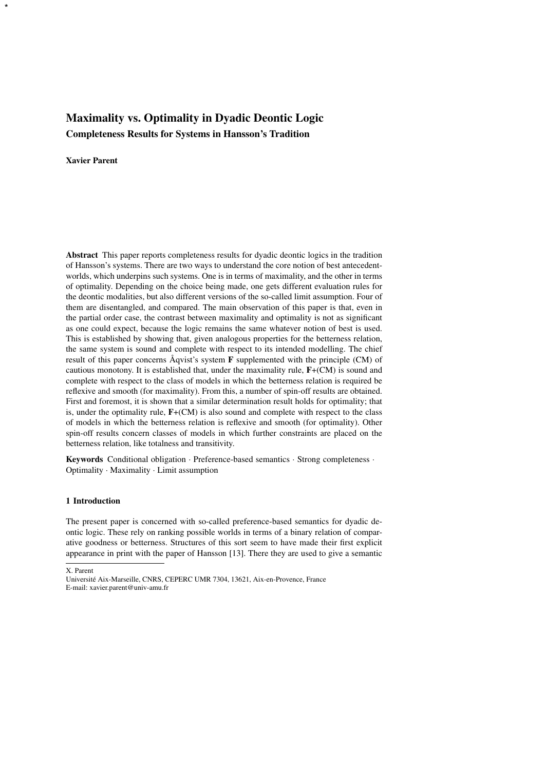# Maximality vs. Optimality in Dyadic Deontic Logic Completeness Results for Systems in Hansson's Tradition

## Xavier Parent

\*

Abstract This paper reports completeness results for dyadic deontic logics in the tradition of Hansson's systems. There are two ways to understand the core notion of best antecedentworlds, which underpins such systems. One is in terms of maximality, and the other in terms of optimality. Depending on the choice being made, one gets different evaluation rules for the deontic modalities, but also different versions of the so-called limit assumption. Four of them are disentangled, and compared. The main observation of this paper is that, even in the partial order case, the contrast between maximality and optimality is not as significant as one could expect, because the logic remains the same whatever notion of best is used. This is established by showing that, given analogous properties for the betterness relation, the same system is sound and complete with respect to its intended modelling. The chief result of this paper concerns Åqvist's system  **supplemented with the principle (CM) of** cautious monotony. It is established that, under the maximality rule, F+(CM) is sound and complete with respect to the class of models in which the betterness relation is required be reflexive and smooth (for maximality). From this, a number of spin-off results are obtained. First and foremost, it is shown that a similar determination result holds for optimality; that is, under the optimality rule, F+(CM) is also sound and complete with respect to the class of models in which the betterness relation is reflexive and smooth (for optimality). Other spin-off results concern classes of models in which further constraints are placed on the betterness relation, like totalness and transitivity.

Keywords Conditional obligation · Preference-based semantics · Strong completeness · Optimality · Maximality · Limit assumption

#### 1 Introduction

The present paper is concerned with so-called preference-based semantics for dyadic deontic logic. These rely on ranking possible worlds in terms of a binary relation of comparative goodness or betterness. Structures of this sort seem to have made their first explicit appearance in print with the paper of Hansson [13]. There they are used to give a semantic

X. Parent

Universite Aix-Marseille, CNRS, CEPERC UMR 7304, 13621, Aix-en-Provence, France ´ E-mail: xavier.parent@univ-amu.fr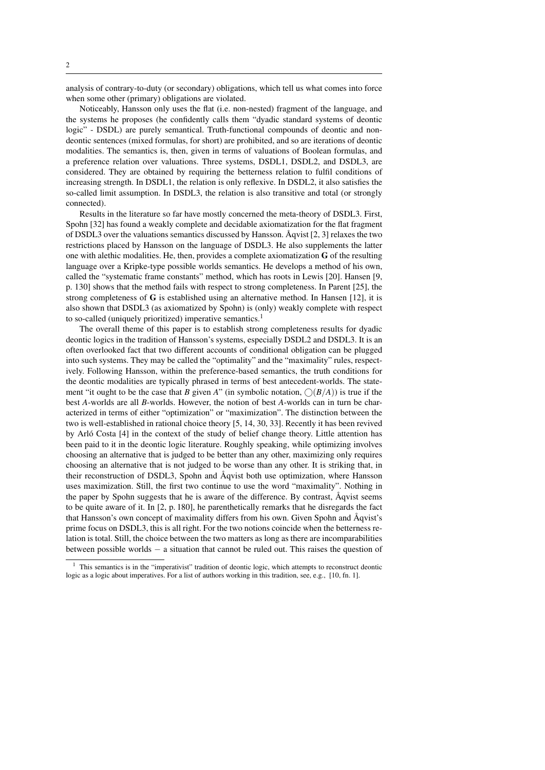analysis of contrary-to-duty (or secondary) obligations, which tell us what comes into force when some other (primary) obligations are violated.

Noticeably, Hansson only uses the flat (i.e. non-nested) fragment of the language, and the systems he proposes (he confidently calls them "dyadic standard systems of deontic logic" - DSDL) are purely semantical. Truth-functional compounds of deontic and nondeontic sentences (mixed formulas, for short) are prohibited, and so are iterations of deontic modalities. The semantics is, then, given in terms of valuations of Boolean formulas, and a preference relation over valuations. Three systems, DSDL1, DSDL2, and DSDL3, are considered. They are obtained by requiring the betterness relation to fulfil conditions of increasing strength. In DSDL1, the relation is only reflexive. In DSDL2, it also satisfies the so-called limit assumption. In DSDL3, the relation is also transitive and total (or strongly connected).

Results in the literature so far have mostly concerned the meta-theory of DSDL3. First, Spohn [32] has found a weakly complete and decidable axiomatization for the flat fragment of DSDL3 over the valuations semantics discussed by Hansson. Aqvist  $[2, 3]$  relaxes the two restrictions placed by Hansson on the language of DSDL3. He also supplements the latter one with alethic modalities. He, then, provides a complete axiomatization G of the resulting language over a Kripke-type possible worlds semantics. He develops a method of his own, called the "systematic frame constants" method, which has roots in Lewis [20]. Hansen [9, p. 130] shows that the method fails with respect to strong completeness. In Parent [25], the strong completeness of  $\bf{G}$  is established using an alternative method. In Hansen [12], it is also shown that DSDL3 (as axiomatized by Spohn) is (only) weakly complete with respect to so-called (uniquely prioritized) imperative semantics.<sup>1</sup>

The overall theme of this paper is to establish strong completeness results for dyadic deontic logics in the tradition of Hansson's systems, especially DSDL2 and DSDL3. It is an often overlooked fact that two different accounts of conditional obligation can be plugged into such systems. They may be called the "optimality" and the "maximality" rules, respectively. Following Hansson, within the preference-based semantics, the truth conditions for the deontic modalities are typically phrased in terms of best antecedent-worlds. The statement "it ought to be the case that *B* given *A*" (in symbolic notation,  $\bigcirc$  (*B*/*A*)) is true if the best *A*-worlds are all *B*-worlds. However, the notion of best *A*-worlds can in turn be characterized in terms of either "optimization" or "maximization". The distinction between the two is well-established in rational choice theory [5, 14, 30, 33]. Recently it has been revived by Arlo Costa [4] in the context of the study of belief change theory. Little attention has been paid to it in the deontic logic literature. Roughly speaking, while optimizing involves choosing an alternative that is judged to be better than any other, maximizing only requires choosing an alternative that is not judged to be worse than any other. It is striking that, in their reconstruction of DSDL3, Spohn and Åqvist both use optimization, where Hansson uses maximization. Still, the first two continue to use the word "maximality". Nothing in the paper by Spohn suggests that he is aware of the difference. By contrast,  $\hat{A}$ qvist seems to be quite aware of it. In [2, p. 180], he parenthetically remarks that he disregards the fact that Hansson's own concept of maximality differs from his own. Given Spohn and Aqvist's ˚ prime focus on DSDL3, this is all right. For the two notions coincide when the betterness relation is total. Still, the choice between the two matters as long as there are incomparabilities between possible worlds − a situation that cannot be ruled out. This raises the question of

 $<sup>1</sup>$  This semantics is in the "imperativist" tradition of deontic logic, which attempts to reconstruct deontic</sup> logic as a logic about imperatives. For a list of authors working in this tradition, see, e.g., [10, fn. 1].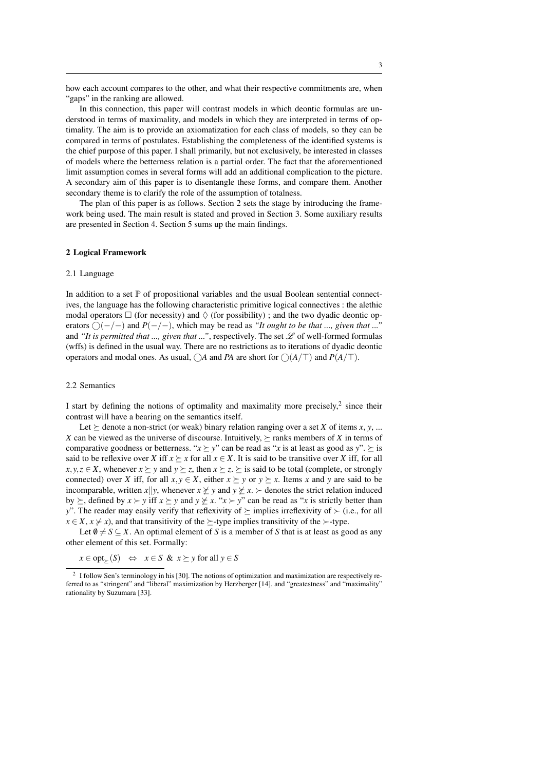how each account compares to the other, and what their respective commitments are, when "gaps" in the ranking are allowed.

In this connection, this paper will contrast models in which deontic formulas are understood in terms of maximality, and models in which they are interpreted in terms of optimality. The aim is to provide an axiomatization for each class of models, so they can be compared in terms of postulates. Establishing the completeness of the identified systems is the chief purpose of this paper. I shall primarily, but not exclusively, be interested in classes of models where the betterness relation is a partial order. The fact that the aforementioned limit assumption comes in several forms will add an additional complication to the picture. A secondary aim of this paper is to disentangle these forms, and compare them. Another secondary theme is to clarify the role of the assumption of totalness.

The plan of this paper is as follows. Section 2 sets the stage by introducing the framework being used. The main result is stated and proved in Section 3. Some auxiliary results are presented in Section 4. Section 5 sums up the main findings.

#### 2 Logical Framework

#### 2.1 Language

In addition to a set  $\mathbb P$  of propositional variables and the usual Boolean sentential connectives, the language has the following characteristic primitive logical connectives : the alethic modal operators  $\Box$  (for necessity) and  $\Diamond$  (for possibility); and the two dyadic deontic operators  $\bigcap (-/-)$  and  $P(-/-)$ , which may be read as *"It ought to be that ..., given that ...*" and *"It is permitted that ..., given that ..."*, respectively. The set  $\mathscr L$  of well-formed formulas (wffs) is defined in the usual way. There are no restrictions as to iterations of dyadic deontic operators and modal ones. As usual,  $\bigcirc$ *A* and *PA* are short for  $\bigcirc$  (*A*/ $\top$ ) and *P*(*A*/ $\top$ ).

#### 2.2 Semantics

I start by defining the notions of optimality and maximality more precisely, $2$  since their contrast will have a bearing on the semantics itself.

Let  $\succeq$  denote a non-strict (or weak) binary relation ranging over a set *X* of items *x*, *y*, ... *X* can be viewed as the universe of discourse. Intuitively,  $\succeq$  ranks members of *X* in terms of comparative goodness or betterness. " $x \succeq y$ " can be read as "*x* is at least as good as *y*".  $\succeq$  is said to be reflexive over *X* iff  $x \succeq x$  for all  $x \in X$ . It is said to be transitive over *X* iff, for all *x*, *y*, *z* ∈ *X*, whenever *x*  $\succeq$  *y* and *y*  $\succeq$  *z*, then *x*  $\succeq$  *z*.  $\succeq$  is said to be total (complete, or strongly connected) over *X* iff, for all  $x, y \in X$ , either  $x \succeq y$  or  $y \succeq x$ . Items *x* and *y* are said to be incomparable, written *x*||*y*, whenever  $x \not\geq y$  and  $y \not\geq x$ .  $\succ$  denotes the strict relation induced by  $\succeq$ , defined by  $x \succ y$  iff  $x \succeq y$  and  $y \not\preceq x$ . " $x \succ y$ " can be read as "*x* is strictly better than *y*". The reader may easily verify that reflexivity of  $\succeq$  implies irreflexivity of  $\succeq$  (i.e., for all  $x \in X$ ,  $x \neq x$ ), and that transitivity of the  $\succeq$ -type implies transitivity of the  $\succ$ -type.

Let  $\emptyset \neq S \subseteq X$ . An optimal element of *S* is a member of *S* that is at least as good as any other element of this set. Formally:

 $x \in opt_{\succ}(S) \Leftrightarrow x \in S \& x \succeq y \text{ for all } y \in S$ 

<sup>&</sup>lt;sup>2</sup> I follow Sen's terminology in his [30]. The notions of optimization and maximization are respectively referred to as "stringent" and "liberal" maximization by Herzberger [14], and "greatestness" and "maximality" rationality by Suzumara [33].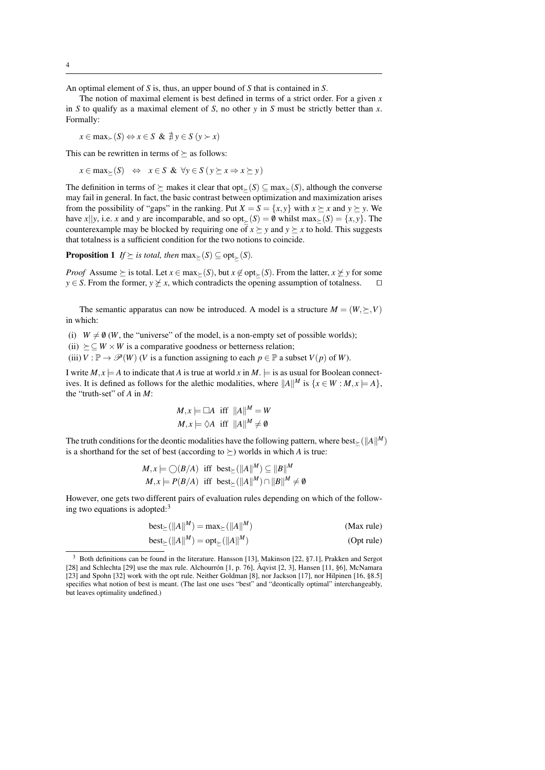An optimal element of *S* is, thus, an upper bound of *S* that is contained in *S*.

The notion of maximal element is best defined in terms of a strict order. For a given *x* in *S* to qualify as a maximal element of *S*, no other *y* in *S* must be strictly better than *x*. Formally:

$$
x \in \max_{\succ}(S) \Leftrightarrow x \in S \& \nexists y \in S \ (y \succ x)
$$

This can be rewritten in terms of  $\succeq$  as follows:

 $x \in \max_{\succ} (S) \Leftrightarrow x \in S \& \forall y \in S (y \succeq x \Rightarrow x \succeq y)$ 

The definition in terms of  $\succeq$  makes it clear that opt<sub> $\succeq$ </sub> $(S) \subset \max_{\succ} (S)$ , although the converse may fail in general. In fact, the basic contrast between optimization and maximization arises from the possibility of "gaps" in the ranking. Put  $X = S = \{x, y\}$  with  $x \succeq x$  and  $y \succeq y$ . We have *x*||*y*, i.e. *x* and *y* are incomparable, and so  $opt_>(S) = 0$  whilst max $>(S) = \{x, y\}$ . The counterexample may be blocked by requiring one of  $x \succeq y$  and  $y \succeq x$  to hold. This suggests that totalness is a sufficient condition for the two notions to coincide.

**Proposition 1** *If*  $\succeq$  *is total, then* max $\succ$ (*S*)  $\subseteq$  opt $\succ$ (*S*)*.* 

*Proof* Assume  $\succeq$  is total. Let  $x \in \max_{\succeq} (S)$ , but  $x \notin \text{opt}_{\succeq} (S)$ . From the latter,  $x \not\succeq y$  for some  $y \in S$ . From the former,  $y \not\succeq x$ , which contradicts the opening assumption of totalness. *y*  $\in$  *S*. From the former, *y*  $\ngeq$  *x*, which contradicts the opening assumption of totalness.

The semantic apparatus can now be introduced. A model is a structure  $M = (W, \succeq, V)$ in which:

(i)  $W \neq \emptyset$  (*W*, the "universe" of the model, is a non-empty set of possible worlds);

(ii)  $\succeq \subset W \times W$  is a comparative goodness or betterness relation:

(iii)  $V : \mathbb{P} \to \mathcal{P}(W)$  (*V* is a function assigning to each  $p \in \mathbb{P}$  a subset  $V(p)$  of *W*).

I write  $M, x \models A$  to indicate that *A* is true at world *x* in  $M$ .  $\models$  is as usual for Boolean connectives. It is defined as follows for the alethic modalities, where  $||A||^M$  is  $\{x \in W : M, x \models A\}$ , the "truth-set" of *A* in *M*:

$$
M, x \models \Box A \text{ iff } ||A||^{M} = W
$$
  

$$
M, x \models \Diamond A \text{ iff } ||A||^{M} \neq \emptyset
$$

The truth conditions for the deontic modalities have the following pattern, where  $\text{best}_{\succeq}(\|A\|^M)$ is a shorthand for the set of best (according to  $\succ$ ) worlds in which *A* is true:

$$
M, x \models \bigcirc (B/A) \text{ iff } \text{best}_{\succeq}(\|A\|^M) \subseteq \|B\|^M
$$
  

$$
M, x \models P(B/A) \text{ iff } \text{best}_{\succeq}(\|A\|^M) \cap \|B\|^M \neq \emptyset
$$

However, one gets two different pairs of evaluation rules depending on which of the following two equations is adopted: $3$ 

$$
best_{\geq}(\|A\|^M) = \max_{\geq}(\|A\|^M) \tag{Max rule}
$$

$$
\text{best}_{\geq}(\|A\|^M) = \text{opt}_{\geq}(\|A\|^M) \tag{Opt rule}
$$

<sup>3</sup> Both definitions can be found in the literature. Hansson [13], Makinson [22, §7.1], Prakken and Sergot [28] and Schlechta [29] use the max rule. Alchourron  $[1, p. 76]$ ,  $\AA$ qvist  $[2, 3]$ , Hansen  $[11, \S6]$ , McNamara [23] and Spohn [32] work with the opt rule. Neither Goldman [8], nor Jackson [17], nor Hilpinen [16, §8.5] specifies what notion of best is meant. (The last one uses "best" and "deontically optimal" interchangeably, but leaves optimality undefined.)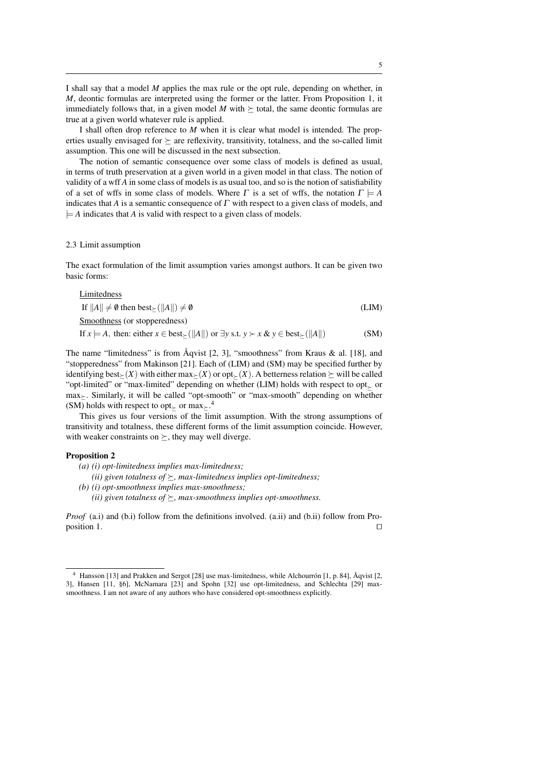I shall say that a model *M* applies the max rule or the opt rule, depending on whether, in *M*, deontic formulas are interpreted using the former or the latter. From Proposition 1, it immediately follows that, in a given model *M* with  $\succeq$  total, the same deontic formulas are true at a given world whatever rule is applied.

I shall often drop reference to *M* when it is clear what model is intended. The properties usually envisaged for  $\succeq$  are reflexivity, transitivity, totalness, and the so-called limit assumption. This one will be discussed in the next subsection.

The notion of semantic consequence over some class of models is defined as usual, in terms of truth preservation at a given world in a given model in that class. The notion of validity of a wff *A* in some class of models is as usual too, and so is the notion of satisfiability of a set of wffs in some class of models. Where  $\Gamma$  is a set of wffs, the notation  $\Gamma \models A$ indicates that *A* is a semantic consequence of Γ with respect to a given class of models, and  $\models$  *A* indicates that *A* is valid with respect to a given class of models.

#### 2.3 Limit assumption

The exact formulation of the limit assumption varies amongst authors. It can be given two basic forms:

Limitedness

If  $||A|| \neq \emptyset$  then best $\setminus (||A||) \neq \emptyset$  (LIM) Smoothness (or stopperedness)

If *x*  $\models A$ , then: either *x* ∈ best $\succ$ ( $||A||$ ) or ∃*y* s.t. *y*  $\succ x$  & *y* ∈ best $\succ$ ( $||A||$ ) (SM)

The name "limitedness" is from  $\AA$ qvist [2, 3], "smoothness" from Kraus & al. [18], and "stopperedness" from Makinson [21]. Each of (LIM) and (SM) may be specified further by identifying best $\leq$  *(X)* with either max $\geq$  *(X)* or opt $\leq$  *(X)*. A betterness relation  $\geq$  will be called "opt-limited" or "max-limited" depending on whether (LIM) holds with respect to opt or max. Similarly, it will be called "opt-smooth" or "max-smooth" depending on whether (SM) holds with respect to opt<sub> $\succeq$ </sub> or max $\succeq$ .<sup>4</sup>

This gives us four versions of the limit assumption. With the strong assumptions of transitivity and totalness, these different forms of the limit assumption coincide. However, with weaker constraints on  $\succeq$ , they may well diverge.

#### Proposition 2

- *(a) (i) opt-limitedness implies max-limitedness;*
- *(ii) given totalness of*  $\geq$ *, max-limitedness implies opt-limitedness;*
- *(b) (i) opt-smoothness implies max-smoothness; (ii) given totalness of*  $\succeq$ , *max-smoothness implies opt-smoothness.*

*Proof* (a.i) and (b.i) follow from the definitions involved. (a.ii) and (b.ii) follow from Proposition 1.  $\Box$ 

<sup>&</sup>lt;sup>4</sup> Hansson [13] and Prakken and Sergot [28] use max-limitedness, while Alchourron [1, p. 84], Åqvist [2, 3], Hansen [11, §6], McNamara [23] and Spohn [32] use opt-limitedness, and Schlechta [29] maxsmoothness. I am not aware of any authors who have considered opt-smoothness explicitly.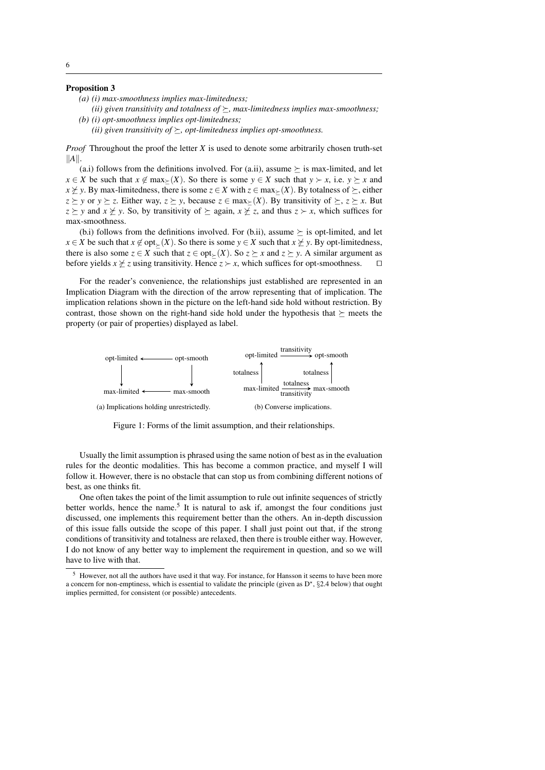#### Proposition 3

- *(a) (i) max-smoothness implies max-limitedness;*
- *(ii) given transitivity and totalness of*  $\geq$ *, max-limitedness implies max-smoothness; (b) (i) opt-smoothness implies opt-limitedness;*
	- *(ii) given transitivity of*  $\succeq$ , *opt-limitedness implies opt-smoothness.*

*Proof* Throughout the proof the letter *X* is used to denote some arbitrarily chosen truth-set  $||A||$ .

(a.i) follows from the definitions involved. For (a.ii), assume  $\succeq$  is max-limited, and let *x* ∈ *X* be such that *x* ∉ max<sub></sub> $\ge$  (*X*). So there is some *y* ∈ *X* such that *y*  $\succ$  *x*, i.e. *y*  $\succ$  *x* and *x*  $\angle$  *y*. By max-limitedness, there is some *z* ∈ *X* with *z* ∈ max $\angle$  (*X*). By totalness of  $\angle$ , either *z*  $\geq$  *y* or *y*  $\succeq$  *z*. Either way, *z*  $\succeq$  *y*, because *z* ∈ max $\succeq$  (*X*). By transitivity of  $\succeq$ , *z*  $\succeq$  *x*. But  $z \geq y$  and  $x \not\geq y$ . So, by transitivity of  $\succeq$  again,  $x \not\geq z$ , and thus  $z \succ x$ , which suffices for max-smoothness.  $\mathbf{a}$ ...  $\mathcal{L}$ 

(b.i) follows from the definitions involved. For (b.ii), assume  $\succeq$  is opt-limited, and let *x* ∈ *X* be such that *x*  $\notin$  opt<sub> $\succeq$ </sub> (*X*). So there is some *y* ∈ *X* such that *x*  $\not\succeq$  *y*. By opt-limitedness, there is also some  $z \in X$  such that  $z \in opt_{\succeq}(X)$ . So  $z \succeq x$  and  $z \succeq y$ . A similar argument as before yields  $x \not\geq z$  using transitivity. Hence  $z \succ x$ , which suffices for opt-smoothness.  $\square$  $\overline{\mathscr{L}}$  $\pm$  $\cdot$  x Third.

For the reader's convenience, the relationships just established are represented in an I'm the redder *s* convenience, the relationships just established the represented in this Implication. The implication relations shown in the picture on the left-hand side hold without restriction. By contrast, those shown on the right-hand side hold under the hypothesis that  $\succeq$  meets the property (or pair of properties) displayed as label. agram with the direction of the arrow representing that of implication. The ur<br>.



Figure 1: Forms of the limit assumption, and their relationships.

Usually the limit assumption is phrased using the same notion of best as in the evaluation Figure 2: Figure 2: Forms of the limit as the limit as the limit of the limit of the limit  $r_{\text{max}}$ Examples for the deontic modalities. This has become a common practice, and myself I will follow it. However, the interest  $\frac{1}{2}$  is not  $\frac{1}{2}$  if  $\frac{1}{2}$  is not  $\frac{1}{2}$  if  $\frac{1}{2}$  is not  $\frac{1}{2}$  if  $\frac{1}{2}$  is not  $\frac{1}{2}$  if  $\frac{1}{2}$  is not  $\frac{1}{2}$  if  $\frac{1}{2}$  if  $\frac{1}{2}$  is not  $\frac{1}{2}$ follow it. However, there is no obstacle that can stop us from combining different notions of heat as an athinka  $f_t$ . best, as one thinks fit.

better worlds, hence the name.<sup>5</sup> It is natural to ask if, amongst the four conditions just discussed, one implements this requirement better than the others. An in-depth discussion of this issue falls outside the scope of this paper. I shall just point out that, if the strong conditions of transitivity and totalness are relaxed, then there is trouble either way. However, I do not know of any better way to implement the requirement in question, and so we will  $\theta$  with that, hence the name of ask if, and  $\theta$  is name. One often takes the point of the limit assumption to rule out infinite sequences of strictly One often takes the point of the limit assumption to rule out infinite sequences of strictly  $\mathbf{x} \in \mathbb{R}$ ,  $\mathbf{x} \in \mathbb{R}$ ,  $\mathbf{x} \in \mathbb{R}$ ,  $\mathbf{x} \in \mathbb{R}$ ,  $\mathbf{x} \in \mathbb{R}$ ,  $\mathbf{x} \in \mathbb{R}$ ,  $\mathbf{x} \in \mathbb{R}$ ,  $\mathbf{x} \in \mathbb{R}$ ,  $\mathbf{x} \in \mathbb{R}$ ,  $\mathbf{x} \in \mathbb{R}$ ,  $\mathbf{x} \in \mathbb{R}$ ,  $\mathbf{x} \in \mathbb{R}$ ,  $\mathbf{x} \in \mathbb{R}$ , have to live with that.

 $\overline{\phantom{a}^5}$  However, not all the authors have used it that way. For instance, for Hansson it seems to have been more ler, not all the authors have used it that way. For instance, for Hansson it seems to have been more<br>or non-emptiness, which is essential to validate the principle (given as D<sup>\*</sup>, 82.4 below) that ought implies permitted, for consistent (or possible) antecedents. a concern for non-emptiness, which is essential to validate the principle (given as  $D^*$ , §2.4 below) that ought<br>implies permitted for consistent (or possible) antecedents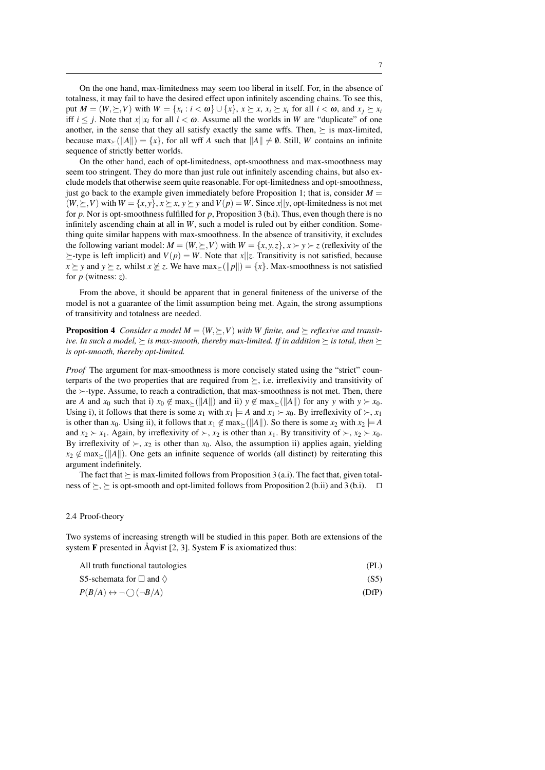On the one hand, max-limitedness may seem too liberal in itself. For, in the absence of totalness, it may fail to have the desired effect upon infinitely ascending chains. To see this, put  $M = (W, \succeq, V)$  with  $W = \{x_i : i < \omega\} \cup \{x\}, x \succeq x, x_i \succeq x_i \text{ for all } i < \omega, \text{ and } x_j \succeq x_i$ iff  $i \leq j$ . Note that  $x||x_i$  for all  $i \leq \omega$ . Assume all the worlds in *W* are "duplicate" of one another, in the sense that they all satisfy exactly the same wffs. Then,  $\succeq$  is max-limited, because  $\max_{\xi}(\Vert A\Vert) = \{x\}$ , for all wff *A* such that  $\Vert A\Vert \neq \emptyset$ . Still, *W* contains an infinite sequence of strictly better worlds.

On the other hand, each of opt-limitedness, opt-smoothness and max-smoothness may seem too stringent. They do more than just rule out infinitely ascending chains, but also exclude models that otherwise seem quite reasonable. For opt-limitedness and opt-smoothness, just go back to the example given immediately before Proposition 1; that is, consider  $M =$  $(W, \succeq, V)$  with  $W = \{x, y\}$ ,  $x \succeq x$ ,  $y \succeq y$  and  $V(p) = W$ . Since  $x||y$ , opt-limitedness is not met for *p*. Nor is opt-smoothness fulfilled for *p*, Proposition 3 (b.i). Thus, even though there is no infinitely ascending chain at all in *W*, such a model is ruled out by either condition. Something quite similar happens with max-smoothness. In the absence of transitivity, it excludes the following variant model:  $M = (W, \succeq, V)$  with  $W = \{x, y, z\}$ ,  $x \succ y \succ z$  (reflexivity of the  $\succeq$ -type is left implicit) and  $V(p) = W$ . Note that  $x||z$ . Transitivity is not satisfied, because  $x \succeq y$  and  $y \succeq z$ , whilst  $x \not\geq z$ . We have max $\succeq$  ( $||p||$ ) =  $\{x\}$ . Max-smoothness is not satisfied for *p* (witness: *z*).

From the above, it should be apparent that in general finiteness of the universe of the model is not a guarantee of the limit assumption being met. Again, the strong assumptions of transitivity and totalness are needed.

**Proposition 4** *Consider a model M* =  $(W, \succeq, V)$  *with W finite, and*  $\succeq$  *reflexive and transitive. In such a model,*  $\succ$  *is max-smooth, thereby max-limited. If in addition*  $\succ$  *is total, then*  $\succ$ *is opt-smooth, thereby opt-limited.*

*Proof* The argument for max-smoothness is more concisely stated using the "strict" counterparts of the two properties that are required from  $\succeq$ , i.e. irreflexivity and transitivity of the  $\succ$ -type. Assume, to reach a contradiction, that max-smoothness is not met. Then, there are *A* and  $x_0$  such that i)  $x_0 \notin \max_{\geq} (\Vert A \Vert)$  and ii)  $y \notin \max_{\geq} (\Vert A \Vert)$  for any  $y$  with  $y \succ x_0$ . Using i), it follows that there is some  $x_1$  with  $x_1 \models A$  and  $x_1 \succ x_0$ . By irreflexivity of  $\succ$ ,  $x_1$ is other than *x*<sub>0</sub>. Using ii), it follows that  $x_1 \notin \max_{\geq}$  (||A|||). So there is some  $x_2$  with  $x_2 \models A$ and  $x_2 \succ x_1$ . Again, by irreflexivity of  $\succ, x_2$  is other than  $x_1$ . By transitivity of  $\succ, x_2 \succ x_0$ . By irreflexivity of  $\succ$ ,  $x_2$  is other than  $x_0$ . Also, the assumption ii) applies again, yielding  $x_2 \notin \max_{\geq} (\Vert A \Vert)$ . One gets an infinite sequence of worlds (all distinct) by reiterating this argument indefinitely.

The fact that  $\succeq$  is max-limited follows from Proposition 3 (a.i). The fact that, given totalness of  $\succeq$ ,  $\succeq$  is opt-smooth and opt-limited follows from Proposition 2 (b.ii) and 3 (b.i).  $\square$ 

### 2.4 Proof-theory

Two systems of increasing strength will be studied in this paper. Both are extensions of the system  $\bf{F}$  presented in Åqvist [2, 3]. System  $\bf{F}$  is axiomatized thus:

| All truth functional tautologies                  | (PL)  |
|---------------------------------------------------|-------|
| S5-schemata for $\Box$ and $\diamondsuit$         | (S5)  |
| $P(B/A) \leftrightarrow \neg \bigcirc (\neg B/A)$ | (DfP) |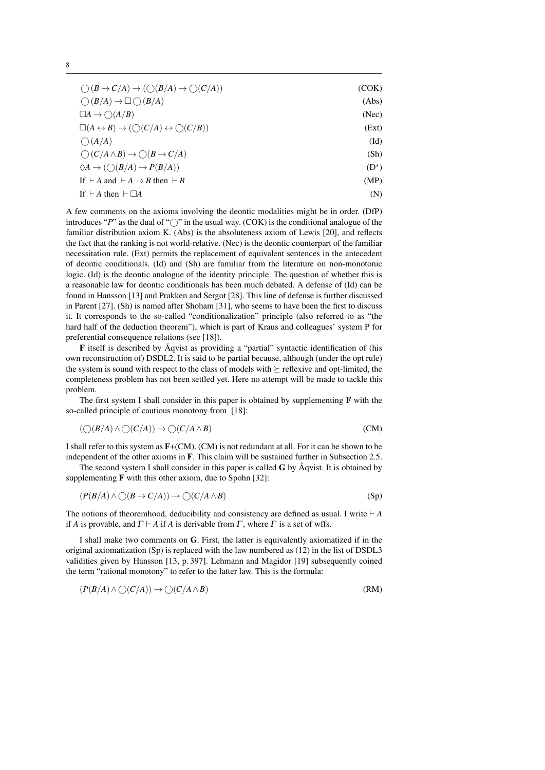| $\bigcirc$ $(B \to C/A) \to (\bigcirc (B/A) \to \bigcirc (C/A))$                        | (COK)         |
|-----------------------------------------------------------------------------------------|---------------|
| $\bigcirc$ $(B/A) \rightarrow \Box \bigcirc$ $(B/A)$                                    | (Abs)         |
| $\Box A \rightarrow \bigcirc (A/B)$                                                     | (Nec)         |
| $\Box(A \leftrightarrow B) \rightarrow (\bigcirc (C/A) \leftrightarrow \bigcirc (C/B))$ | (Ext)         |
| $\bigcirc$ $(A/A)$                                                                      | $(Id)$        |
| $\bigcirc$ $(C/A \wedge B) \rightarrow \bigcirc$ $(B \rightarrow C/A)$                  | (Sh)          |
| $\Diamond A \rightarrow (\bigcirc (B/A) \rightarrow P(B/A))$                            | $(D^{\star})$ |
| If $\vdash A$ and $\vdash A \rightarrow B$ then $\vdash B$                              | (MP)          |
| If $\vdash A$ then $\vdash \Box A$                                                      | (N)           |

A few comments on the axioms involving the deontic modalities might be in order. (DfP) introduces " $P$ " as the dual of " $\bigcirc$ " in the usual way. (COK) is the conditional analogue of the familiar distribution axiom K. (Abs) is the absoluteness axiom of Lewis [20], and reflects the fact that the ranking is not world-relative. (Nec) is the deontic counterpart of the familiar necessitation rule. (Ext) permits the replacement of equivalent sentences in the antecedent of deontic conditionals. (Id) and (Sh) are familiar from the literature on non-monotonic logic. (Id) is the deontic analogue of the identity principle. The question of whether this is a reasonable law for deontic conditionals has been much debated. A defense of (Id) can be found in Hansson [13] and Prakken and Sergot [28]. This line of defense is further discussed in Parent [27]. (Sh) is named after Shoham [31], who seems to have been the first to discuss it. It corresponds to the so-called "conditionalization" principle (also referred to as "the hard half of the deduction theorem"), which is part of Kraus and colleagues' system P for preferential consequence relations (see [18]).

 $\bf{F}$  itself is described by Åqvist as providing a "partial" syntactic identification of (his own reconstruction of) DSDL2. It is said to be partial because, although (under the opt rule) the system is sound with respect to the class of models with  $\succeq$  reflexive and opt-limited, the completeness problem has not been settled yet. Here no attempt will be made to tackle this problem.

The first system I shall consider in this paper is obtained by supplementing  $\bf{F}$  with the so-called principle of cautious monotony from [18]:

$$
(\bigcirc (B/A) \land \bigcirc (C/A)) \to \bigcirc (C/A \land B)
$$
 (CM)

I shall refer to this system as F+(CM). (CM) is not redundant at all. For it can be shown to be independent of the other axioms in F. This claim will be sustained further in Subsection 2.5.

The second system I shall consider in this paper is called  $\bf{G}$  by  $\rm{Åqvist}$ . It is obtained by supplementing  $\bf{F}$  with this other axiom, due to Spohn [32]:

$$
(P(B/A) \land \bigcirc (B \to C/A)) \to \bigcirc (C/A \land B)
$$
 (Sp)

The notions of theoremhood, deducibility and consistency are defined as usual. I write  $\vdash A$ if *A* is provable, and  $\Gamma \vdash A$  if *A* is derivable from  $\Gamma$ , where  $\Gamma$  is a set of wffs.

I shall make two comments on G. First, the latter is equivalently axiomatized if in the original axiomatization (Sp) is replaced with the law numbered as (12) in the list of DSDL3 validities given by Hansson [13, p. 397]. Lehmann and Magidor [19] subsequently coined the term "rational monotony" to refer to the latter law. This is the formula:

$$
(P(B/A) \land \bigcirc (C/A)) \to \bigcirc (C/A \land B) \tag{RM}
$$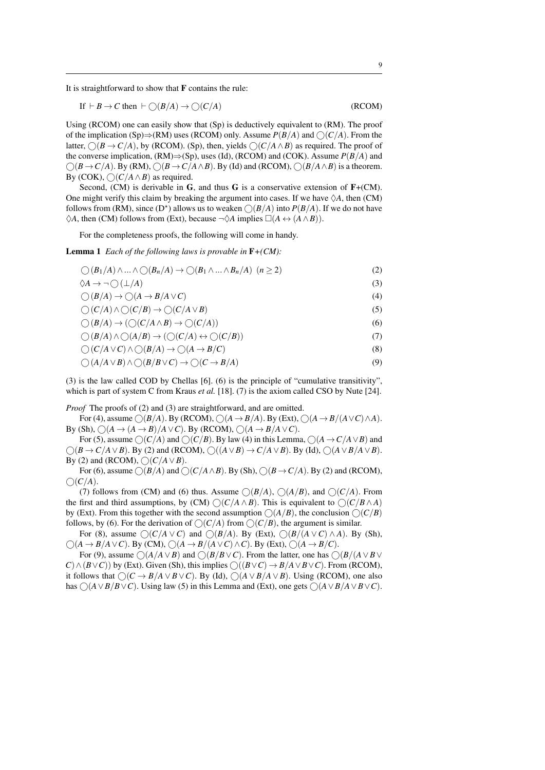It is straightforward to show that F contains the rule:

If 
$$
\vdash B \to C
$$
 then  $\vdash \bigcirc(B/A) \to \bigcirc(C/A)$  (RCOM)

Using (RCOM) one can easily show that (Sp) is deductively equivalent to (RM). The proof of the implication (Sp) $\Rightarrow$ (RM) uses (RCOM) only. Assume  $P(B/A)$  and  $\bigcap$  (C/*A*). From the latter,  $\bigcap (B \rightarrow C/A)$ , by (RCOM). (Sp), then, yields  $\bigcap (C/A \land B)$  as required. The proof of the converse implication, (RM)⇒(Sp), uses (Id), (RCOM) and (COK). Assume *P*(*B*/*A*) and  $\bigcap (B \rightarrow C/A)$ . By (RM),  $\bigcap (B \rightarrow C/A \land B)$ . By (Id) and (RCOM),  $\bigcap (B/A \land B)$  is a theorem. By (COK),  $\bigcap (C/A \wedge B)$  as required.

Second, (CM) is derivable in  $G$ , and thus  $G$  is a conservative extension of  $F+(CM)$ . One might verify this claim by breaking the argument into cases. If we have  $\Diamond A$ , then (CM) follows from (RM), since (D<sup>\*</sup>) allows us to weaken  $\bigcirc (B/A)$  into  $P(B/A)$ . If we do not have  $\Diamond A$ , then (CM) follows from (Ext), because  $\neg \Diamond A$  implies  $\square (A \leftrightarrow (A \land B)).$ 

For the completeness proofs, the following will come in handy.

Lemma 1 *Each of the following laws is provable in* F*+(CM):*

$$
\bigcirc (B_1/A) \wedge \ldots \wedge \bigcirc (B_n/A) \to \bigcirc (B_1 \wedge \ldots \wedge B_n/A) \ (n \ge 2)
$$
 (2)

$$
\Diamond A \to \neg \bigcirc (\bot/A)
$$
\n
$$
\bigcirc (B/A) \to \bigcirc (A \to B/A \lor C)
$$
\n(3)\n(4)

$$
\bigcup_{i=1}^{n} (B^{i}/A^{i}) \to \bigcup_{i=1}^{n} (A^{i} \to B^{i}/A \lor C^{i})
$$

 $\bigcirc$   $(C/A) \land \bigcirc$   $(C/B) \rightarrow \bigcirc$   $(C/A \lor B)$  (5)<br> $\bigcirc$   $(P/A) \rightarrow (\bigcirc$   $C/A \land B) \rightarrow \bigcirc$   $\bigcirc$   $C/A))$  (6)

$$
\bigcirc (B/A) \to (\bigcirc (C/A \land B) \to \bigcirc (C/A))
$$
\n
$$
\bigcirc (B/A) \land \bigcirc (A/B) \to (\bigcirc (C/A) \land \bigcirc (C/B))
$$
\n(7)

$$
\bigcup (D/A) \land \bigcup (A/D) \rightarrow (\bigcup (C/A) \leftrightarrow \bigcup (C/D))
$$
 (7)

$$
\bigcirc (C/A \vee C) \wedge \bigcirc (B/A) \to \bigcirc (A \to B/C)
$$
\n(8)

$$
\bigcirc (A/A \vee B) \wedge \bigcirc (B/B \vee C) \rightarrow \bigcirc (C \rightarrow B/A)
$$
\n(9)

(3) is the law called COD by Chellas [6]. (6) is the principle of "cumulative transitivity", which is part of system C from Kraus *et al.* [18]. (7) is the axiom called CSO by Nute [24].

*Proof* The proofs of (2) and (3) are straightforward, and are omitted.

For (4), assume  $\bigcirc$  (*B*/*A*). By (RCOM),  $\bigcirc$  (*A* → *B*/*A*). By (Ext),  $\bigcirc$  (*A* → *B*/(*A* ∨ *C*)∧*A*). By (Sh),  $\bigcap (A \rightarrow (A \rightarrow B)/A \vee C)$ . By (RCOM),  $\bigcap (A \rightarrow B/A \vee C)$ .

For (5), assume  $\bigcirc$  (*C*/*A*) and  $\bigcirc$  (*C*/*B*). By law (4) in this Lemma,  $\bigcirc$  (*A*  $\rightarrow$  *C*/*A* $\vee$ *B*) and  $\bigcirc$   $(B \rightarrow C/A \vee B)$ . By (2) and (RCOM),  $\bigcirc$   $((A \vee B) \rightarrow C/A \vee B)$ . By (Id),  $\bigcirc$   $(A \vee B/A \vee B)$ . By (2) and (RCOM),  $\bigcirc$   $(C/A \vee B)$ .

For (6), assume  $\bigcap (B/A)$  and  $\bigcap (C/A \wedge B)$ . By (Sh),  $\bigcap (B \rightarrow C/A)$ . By (2) and (RCOM),  $\bigcirc$  $(C/A)$ .

(7) follows from (CM) and (6) thus. Assume  $\bigcirc$   $(B/A)$ ,  $\bigcirc$   $(A/B)$ , and  $\bigcirc$   $(C/A)$ . From the first and third assumptions, by  $(CM) \bigcap (C/A \wedge B)$ . This is equivalent to  $\bigcap (C/B \wedge A)$ by (Ext). From this together with the second assumption  $\bigcirc (A/B)$ , the conclusion  $\bigcirc (C/B)$ follows, by (6). For the derivation of  $\bigcirc$  (*C*/*A*) from  $\bigcirc$  (*C*/*B*), the argument is similar.

For (8), assume  $\bigcirc (C/A \vee C)$  and  $\bigcirc (B/A)$ . By (Ext),  $\bigcirc (B/(A \vee C) \wedge A)$ . By (Sh),  $\bigcirc$  (*A* → *B*/*A* ∨ *C*). By (CM),  $\bigcirc$  (*A* → *B*/(*A* ∨ *C*) ∧ *C*). By (Ext),  $\bigcirc$  (*A* → *B*/*C*).

For (9), assume  $\bigcirc (A/A \vee B)$  and  $\bigcirc (B/B \vee C)$ . From the latter, one has  $\bigcirc (B/(A \vee B \vee C))$  $C) \wedge (B \vee C)$  by (Ext). Given (Sh), this implies  $\bigcirc$  ( $(B \vee C) \rightarrow B/A \vee B \vee C$ ). From (RCOM), it follows that  $\bigcap (C \rightarrow B/A \vee B \vee C)$ . By (Id),  $\bigcap (A \vee B/A \vee B)$ . Using (RCOM), one also has  $\bigcap (A \vee B/B \vee C)$ . Using law (5) in this Lemma and (Ext), one gets  $\bigcap (A \vee B/A \vee B \vee C)$ .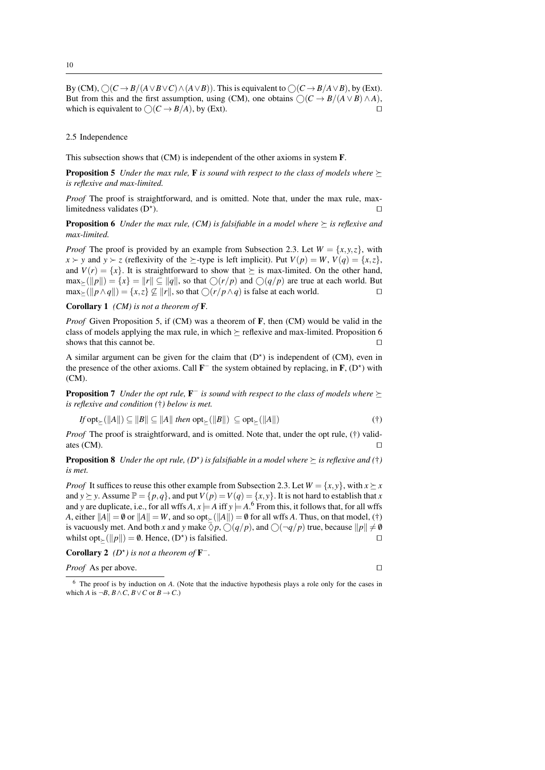By  $(CM)$ ,  $\bigcirc$   $(C \rightarrow B/(A \vee B \vee C) \wedge (A \vee B))$ . This is equivalent to  $\bigcirc$   $(C \rightarrow B/A \vee B)$ , by (Ext). But from this and the first assumption, using (CM), one obtains  $\bigcirc(C \rightarrow B/(A \vee B) \wedge A)$ , which is equivalent to  $\bigcirc(C \rightarrow B/(A)$ , by (Ext) which is equivalent to  $\bigcirc (C \rightarrow B/A)$ , by (Ext).

#### 2.5 Independence

This subsection shows that (CM) is independent of the other axioms in system F.

**Proposition 5** *Under the max rule,* **F** *is sound with respect to the class of models where*  $\succ$ *is reflexive and max-limited.*

*Proof* The proof is straightforward, and is omitted. Note that, under the max rule, maxlimitedness validates  $(D^{\star})$ . ).

**Proposition 6** *Under the max rule, (CM) is falsifiable in a model where*  $\succeq$  *is reflexive and max-limited.*

*Proof* The proof is provided by an example from Subsection 2.3. Let  $W = \{x, y, z\}$ , with  $x \succ y$  and  $y \succ z$  (reflexivity of the  $\succeq$ -type is left implicit). Put  $V(p) = W$ ,  $V(q) = \{x, z\}$ , and  $V(r) = \{x\}$ . It is straightforward to show that  $\succeq$  is max-limited. On the other hand,  $\max_{\geq} (\Vert p \Vert) = \{x\} = \Vert r \Vert \subseteq \Vert q \Vert$ , so that  $\bigcirc (r/p)$  and  $\bigcirc (q/p)$  are true at each world. But  $\max_{\geq} (\Vert p \wedge q \Vert) = \{x, z\} \not\subset \Vert r \Vert$ , so that  $\bigcirc (r/p \wedge q)$  is false at each world.  $\max_{\succ} (\Vert p \wedge q \Vert) = \{x, z\} \nsubseteq \Vert r \Vert$ , so that  $\bigcirc (r/p \wedge q)$  is false at each world.

Corollary 1 *(CM) is not a theorem of* F*.*

*Proof* Given Proposition 5, if (CM) was a theorem of F, then (CM) would be valid in the class of models applying the max rule, in which  $\succeq$  reflexive and max-limited. Proposition 6 shows that this cannot be. shows that this cannot be.

A similar argument can be given for the claim that  $(D^*)$  is independent of  $(CM)$ , even in the presence of the other axioms. Call  $\mathbf{F}^-$  the system obtained by replacing, in  $\mathbf{F}$ ,  $(D^*)$  with (CM).

**Proposition 7** Under the opt rule, **F**<sup>−</sup> is sound with respect to the class of models where  $\succeq$ *is reflexive and condition (*†*) below is met.*

$$
If \operatorname{opt}_{\succeq}(\|A\|) \subseteq \|B\| \subseteq \|A\| \text{ then } \operatorname{opt}_{\succeq}(\|B\|) \subseteq \operatorname{opt}_{\succeq}(\|A\|)
$$
 (†)

*Proof* The proof is straightforward, and is omitted. Note that, under the opt rule, (†) validates  $(CM)$ .

**Proposition 8** Under the opt rule,  $(D^{\star})$  is falsifiable in a model where  $\succeq$  is reflexive and  $(\dagger)$ *is met.*

*Proof* It suffices to reuse this other example from Subsection 2.3. Let  $W = \{x, y\}$ , with  $x \succeq x$ and *y*  $\succeq$  *y*. Assume  $\mathbb{P} = \{p, q\}$ , and put  $V(p) = V(q) = \{x, y\}$ . It is not hard to establish that *x* and *y* are duplicate, i.e., for all wffs *A*,  $x \models A$  iff  $y \models A$ .<sup>6</sup> From this, it follows that, for all wffs *A*, either  $||A|| = \emptyset$  or  $||A|| = W$ , and so opt<sub> $\succ$ </sub> ( $||A||$ ) =  $\emptyset$  for all wffs *A*. Thus, on that model, (†) is vacuously met. And both *x* and *y* make  $\overline{\Diamond p}$ ,  $\bigcirc$  (*q*/*p*), and  $\bigcirc$  ( $\neg$ *q*/*p*) true, because  $||p|| \neq 0$  whilst opt. ( $||p|| = \emptyset$ . Hence, ( $D^*$ ) is falsified. whilst opt<sub> $\leq$ </sub>( $||p||$ ) = 0. Hence, (D<sup>\*</sup>) is falsified.  $\square$ 

**Corollary 2** ( $D^*$ ) is not a theorem of  $\mathbf{F}^-$ .

*Proof* As per above. □

<sup>6</sup> The proof is by induction on *A*. (Note that the inductive hypothesis plays a role only for the cases in which *A* is  $\neg B$ ,  $B \land C$ ,  $B \lor C$  or  $B \to C$ .)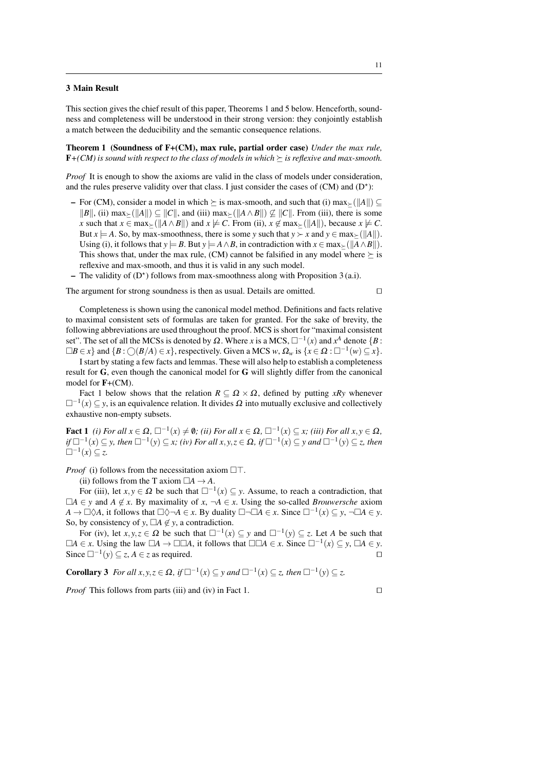#### 3 Main Result

This section gives the chief result of this paper, Theorems 1 and 5 below. Henceforth, soundness and completeness will be understood in their strong version: they conjointly establish a match between the deducibility and the semantic consequence relations.

Theorem 1 (Soundness of F+(CM), max rule, partial order case) *Under the max rule,*  **is sound with respect to the class of models in which**  $\succeq$  **is reflexive and max-smooth.** 

*Proof* It is enough to show the axioms are valid in the class of models under consideration, and the rules preserve validity over that class. I just consider the cases of  $(CM)$  and  $(D^*)$ :

- For (CM), consider a model in which  $\succ$  is max-smooth, and such that (i) max $\succ$ ( $||A||$ ) ⊂ *k*B||, (ii) max<sub>≻</sub>( $||A||$ ) ⊆  $||C||$ , and (iii) max<sub>≻</sub>( $||A \wedge B||$ ) ⊈  $||C||$ . From (iii), there is some *x* such that  $x \in \max_{\geq} (\Vert A \wedge B \Vert)$  and  $x \not\models C$ . From (ii),  $x \notin \max_{\geq} (\Vert A \Vert)$ , because  $x \not\models C$ . But  $x \models A$ . So, by max-smoothness, there is some *y* such that  $y \succ x$  and  $y \in \max_{\succ} (\Vert A \Vert)$ . Using (i), it follows that  $y \models B$ . But  $y \models A \land B$ , in contradiction with  $x \in \max_{\succ} (\Vert A \land B \Vert)$ . This shows that, under the max rule, (CM) cannot be falsified in any model where  $\succeq$  is reflexive and max-smooth, and thus it is valid in any such model.
- The validity of  $(D^*)$  follows from max-smoothness along with Proposition 3 (a.i).

The argument for strong soundness is then as usual. Details are omitted.  $\Box$ 

Completeness is shown using the canonical model method. Definitions and facts relative to maximal consistent sets of formulas are taken for granted. For the sake of brevity, the following abbreviations are used throughout the proof. MCS is short for "maximal consistent set". The set of all the MCSs is denoted by  $\Omega$ . Where *x* is a MCS,  $\square^{-1}(x)$  and  $x^A$  denote  $\{B : X^B\}$ .  $\Box B \in x$ } and  $\{B : \bigcirc (B/A) \in x\}$ , respectively. Given a MCS *w*,  $\Omega_w$  is  $\{x \in \Omega : \Box^{-1}(w) \subseteq x\}$ .

I start by stating a few facts and lemmas. These will also help to establish a completeness result for G, even though the canonical model for G will slightly differ from the canonical model for F+(CM).

Fact 1 below shows that the relation  $R \subseteq \Omega \times \Omega$ , defined by putting *xRy* whenever  $\square^{-1}(x) \subseteq y$ , is an equivalence relation. It divides  $\Omega$  into mutually exclusive and collectively exhaustive non-empty subsets.

Fact  $1$  *(i)* For all  $x \in \Omega$ ,  $\Box^{-1}(x) \neq \emptyset$ ; *(ii)* For all  $x \in \Omega$ ,  $\Box^{-1}(x) \subseteq x$ ; *(iii)* For all  $x, y \in \Omega$ , *if*  $\Box^{-1}(x) \subseteq y$ , then  $\Box^{-1}(y) \subseteq x$ ; (*iv*) For all  $x, y, z \in \Omega$ , if  $\Box^{-1}(x) \subseteq y$  and  $\Box^{-1}(y) \subseteq z$ , then  $□^{-1}(x) \subseteq z$ .

*Proof* (i) follows from the necessitation axiom  $\Box$ .

(ii) follows from the T axiom  $\Box A \rightarrow A$ .

For (iii), let  $x, y \in \Omega$  be such that  $\square^{-1}(x) \subseteq y$ . Assume, to reach a contradiction, that  $\Box A \in y$  and *A* ∉ *x*. By maximality of *x*, ¬*A* ∈ *x*. Using the so-called *Brouwersche* axiom  $A \to \Box \Diamond A$ , it follows that  $\Box \Diamond \neg A \in x$ . By duality  $\Box \neg \Box A \in x$ . Since  $\Box^{-1}(x) \subseteq y$ ,  $\neg \Box A \in y$ . So, by consistency of *y*,  $\Box A \notin y$ , a contradiction.

For (iv), let  $x, y, z \in \Omega$  be such that  $\square^{-1}(x) \subseteq y$  and  $\square^{-1}(y) \subseteq z$ . Let *A* be such that  $\Box A \in x$ . Using the law  $\Box A \rightarrow \Box \Box A$ , it follows that  $\Box \Box A \in x$ . Since  $\Box^{-1}(x) \subseteq y$ ,  $\Box A \in y$ . Since  $\Box^{-1}(y) \subseteq z$ , *A* ∈ *z* as required.  $\Box$ 

**Corollary 3** *For all x*, *y*,  $z \in \Omega$ , *if*  $\Box^{-1}(x) \subseteq y$  *and*  $\Box^{-1}(x) \subseteq z$ , *then*  $\Box^{-1}(y) \subseteq z$ .

*Proof* This follows from parts (iii) and (iv) in Fact 1.  $\Box$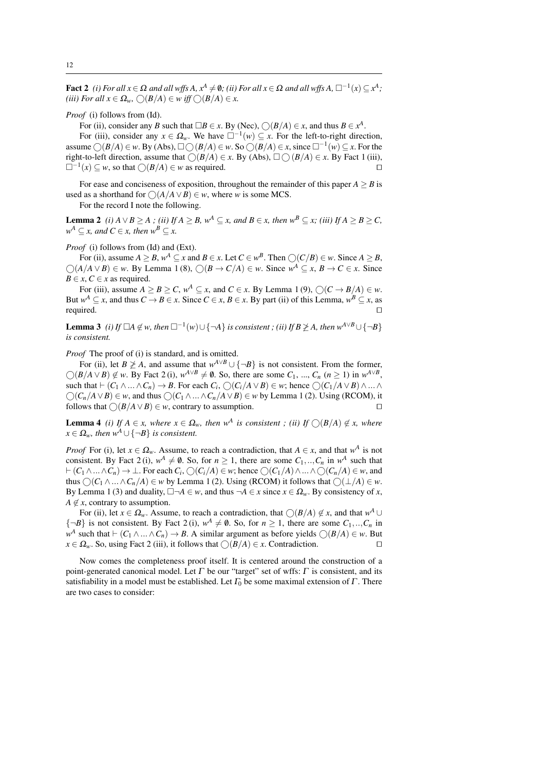Fact 2 *(i)* For all  $x \in \Omega$  and all wffs  $A, x^A \neq \emptyset$ ; *(ii)* For all  $x \in \Omega$  and all wffs  $A, \Box^{-1}(x) \subseteq x^A$ ; (*iii*) For all  $x \in \Omega_w$ ,  $\bigcirc$   $(B/A) \in w$  iff  $\bigcirc$   $(B/A) \in x$ .

*Proof* (i) follows from (Id).

For (ii), consider any *B* such that  $\Box B \in x$ . By (Nec),  $\bigcirc(B/A) \in x$ , and thus  $B \in x^A$ .

For (iii), consider any  $x \in \Omega_w$ . We have  $\square^{-1}(w) \subseteq x$ . For the left-to-right direction, assume ○( $B/A$ ) ∈ *w*. By (Abs), □○( $B/A$ ) ∈ *w*. So ○( $B/A$ ) ∈ *x*, since □<sup>-1</sup>( $w$ ) ⊆ *x*. For the right-to-left direction, assume that  $\bigcirc (B/A) \in x$ . By (Abs),  $\Box \bigcirc (B/A) \in x$ . By Fact 1 (iii),<br> $\Box^{-1}(x) \subset w$  so that  $\bigcirc (B/A) \in w$  as required  $\Box^{-1}(x) \subseteq w$ , so that  $\bigcirc$ (*B*/*A*) ∈ *w* as required.  $\Box$ 

For ease and conciseness of exposition, throughout the remainder of this paper  $A \geq B$  is used as a shorthand for  $\bigcap (A/A \lor B) \in w$ , where *w* is some MCS.

For the record I note the following.

**Lemma 2** *(i) A* ∨*B* > *A ; (ii) If A* > *B*,  $w^A ⊂ x$ *, and*  $B ∈ x$ *, then*  $w^B ⊂ x$ *; (iii) If A* > *B* > *C,*  $w^A \subseteq x$ , and  $C \in x$ , then  $w^B \subseteq x$ .

*Proof* (i) follows from (Id) and (Ext).

For (ii), assume  $A \geq B$ ,  $w^A \subseteq x$  and  $B \in x$ . Let  $C \in w^B$ . Then  $\bigcirc(C/B) \in w$ . Since  $A \geq B$ ,  $\bigcirc$  (*A*/*A* ∨ *B*) ∈ *w*. By Lemma 1 (8),  $\bigcirc$  (*B* → *C*/*A*) ∈ *w*. Since  $w^A \subseteq x$ , *B* → *C* ∈ *x*. Since *B*  $\in$  *x*, *C*  $\in$  *x* as required.

For (iii), assume  $A \geq B \geq C$ ,  $w^A \subseteq x$ , and  $C \in x$ . By Lemma 1(9),  $\bigcirc (C \rightarrow B/A) \in w$ . But  $w^A \subseteq x$ , and thus  $C \to B \in x$ . Since  $C \in x$ ,  $B \in x$ . By part (ii) of this Lemma,  $w^B \subseteq x$ , as required.  $\square$ 

**Lemma 3** *(i) If*  $\Box A \notin w$ , then  $\Box^{-1}(w) \cup \{\neg A\}$  *is consistent ; (ii) If*  $B \ngeq A$ , then  $w^{A \lor B} \cup \{\neg B\}$ *is consistent.*

*Proof* The proof of (i) is standard, and is omitted.

For (ii), let *B*  $\geq$  *A*, and assume that  $w^{A \vee B} \cup \{\neg B\}$  is not consistent. From the former,  $\bigcirc (B/A \vee B) \notin w$ . By Fact 2 (i),  $w^{A \vee B} \neq \emptyset$ . So, there are some  $C_1, ..., C_n$   $(n \ge 1)$  in  $w^{A \vee B}$ , such that  $\vdash$   $(C_1 \land ... \land C_n) \rightarrow B$ . For each  $C_i$ ,  $\bigcirc$   $(C_i/A \lor B) \in w$ ; hence  $\bigcirc$   $(C_1/A \lor B) \land ... \land C_n$  $\bigcirc$  (*C<sub>n</sub>*/*A* ∨ *B*) ∈ *w*, and thus  $\bigcirc$  (*C*<sub>1</sub> ∧...∧*C<sub>n</sub>*/*A* ∨ *B*) ∈ *w* by Lemma 1 (2). Using (RCOM), it follows that  $\bigcirc$  (*B*/*A* ∨ *B*) ∈ *w*. contrary to assumption. follows that  $\bigcirc$ (*B*/*A*  $\vee$  *B*)  $\in$  *w*, contrary to assumption.

**Lemma 4** *(i)* If  $A \in x$ , where  $x \in \Omega_w$ , then  $w^A$  is consistent; *(ii)* If  $\bigcirc(B/A) \notin x$ , where  $x \in \Omega_w$ *, then*  $w^A \cup \{\neg B\}$  *is consistent.* 

*Proof* For (i), let  $x \in \Omega_w$ . Assume, to reach a contradiction, that  $A \in x$ , and that  $w^A$  is not consistent. By Fact 2(i),  $w^A \neq \emptyset$ . So, for  $n \ge 1$ , there are some  $C_1, ..., C_n$  in  $w^A$  such that  $\vdash$   $(C_1 \land \ldots \land C_n) \rightarrow \bot$ . For each  $C_i$ ,  $\bigcirc$   $(C_i/A) \in w$ ; hence  $\bigcirc$   $(C_1/A) \land \ldots \land \bigcirc$   $(C_n/A) \in w$ , and thus  $\bigcap (C_1 \land ... \land C_n/A) \in w$  by Lemma 1 (2). Using (RCOM) it follows that  $\bigcap (\perp/A) \in w$ . By Lemma 1 (3) and duality,  $\Box \neg A \in w$ , and thus  $\neg A \in x$  since  $x \in \Omega_w$ . By consistency of *x*,  $A \notin \mathcal{X}$ , contrary to assumption.

For (ii), let  $x \in \Omega_w$ . Assume, to reach a contradiction, that  $\bigcirc (B/A) \notin x$ , and that  $w^A \cup$  $\{-B\}$  is not consistent. By Fact 2(i),  $w^A \neq \emptyset$ . So, for  $n \geq 1$ , there are some  $C_1, ..., C_n$  in  $w^A$  such that  $\vdash$   $(C_1 \land ... \land C_n) \rightarrow B$ . A similar argument as before yields  $\bigcirc(B/A) \in w$ . But  $x \in \Omega_w$ . So, using Fact 2 (iii), it follows that  $\bigcap (B/A) \in x$ . Contradiction.

Now comes the completeness proof itself. It is centered around the construction of a point-generated canonical model. Let  $\Gamma$  be our "target" set of wffs:  $\Gamma$  is consistent, and its satisfiability in a model must be established. Let  $\Gamma_0$  be some maximal extension of  $\Gamma$ . There are two cases to consider: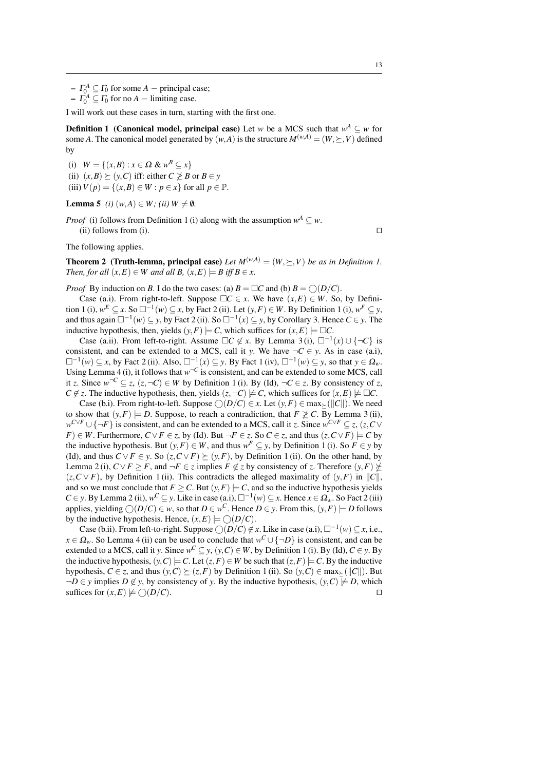$-I_0^A \subseteq I_0$  for some *A* – principal case;

 $-I_0^A \subseteq I_0$  for no *A* – limiting case.

I will work out these cases in turn, starting with the first one.

**Definition 1** (Canonical model, principal case) Let *w* be a MCS such that  $w^A \subseteq w$  for some *A*. The canonical model generated by  $(w, A)$  is the structure  $M^{(w, A)} = (W, \succ, V)$  defined by

(i)  $W = \{(x, B) : x \in \Omega \& w^B \subseteq x\}$ 

(ii)  $(x, B) \succ (y, C)$  iff: either  $C \not\geq B$  or  $B \in y$ 

(iii)  $V(p) = \{(x, B) \in W : p \in x\}$  for all  $p \in \mathbb{P}$ .

#### **Lemma 5** *(i)*  $(w, A) \in W$ ; *(ii)*  $W \neq \emptyset$ .

*Proof* (i) follows from Definition 1 (i) along with the assumption  $w^A \subseteq w$ .

(ii) follows from (i).  $\Box$ 

The following applies.

**Theorem 2** (**Truth-lemma, principal case**) Let  $M^{(w,A)} = (W, \succ, V)$  be as in Definition 1. *Then, for all*  $(x, E) \in W$  *and all*  $B$ ,  $(x, E) \models B$  *iff*  $B \in x$ .

*Proof* By induction on *B*. I do the two cases: (a)  $B = \Box C$  and (b)  $B = \bigcap (D/C)$ .

Case (a.i). From right-to-left. Suppose  $\Box C \in x$ . We have  $(x, E) \in W$ . So, by Definition 1 (i),  $w^E \subseteq x$ . So  $\Box^{-1}(w) \subseteq x$ , by Fact 2 (ii). Let  $(y, F) \in W$ . By Definition 1 (i),  $w^F \subseteq y$ , and thus again  $□^{-1}(w) ⊆ y$ , by Fact 2 (ii). So  $□^{-1}(x) ⊆ y$ , by Corollary 3. Hence *C* ∈ *y*. The inductive hypothesis, then, yields  $(y, F) \models C$ , which suffices for  $(x, E) \models \Box C$ .

Case (a.ii). From left-to-right. Assume  $\Box C \notin x$ . By Lemma 3(i),  $\Box^{-1}(x) \cup \{\neg C\}$  is consistent, and can be extended to a MCS, call it *y*. We have  $\neg C \in y$ . As in case (a.i),  $\square^{-1}(w) \subseteq x$ , by Fact 2 (ii). Also,  $\square^{-1}(x) \subseteq y$ . By Fact 1 (iv),  $\square^{-1}(w) \subseteq y$ , so that  $y \in \Omega_w$ . Using Lemma 4 (i), it follows that  $w^{-C}$  is consistent, and can be extended to some MCS, call it *z*. Since  $w^{-C} \subseteq z$ ,  $(z, \neg C) \in W$  by Definition 1(i). By (Id),  $\neg C \in z$ . By consistency of *z*, *C* ∉ *z*. The inductive hypothesis, then, yields  $(z, \neg C) \not\models C$ , which suffices for  $(x, E) \not\models \Box C$ .

Case (b.i). From right-to-left. Suppose  $\bigcirc(D/C) \in x$ . Let  $(y, F) \in \max_{\ge} (\Vert C \Vert)$ . We need to show that  $(y, F) \models D$ . Suppose, to reach a contradiction, that  $F \not\geq C$ . By Lemma 3 (ii),  $w^{C \vee F} \cup \{-F\}$  is consistent, and can be extended to a MCS, call it *z*. Since  $w^{C \vee F} \subseteq z$ ,  $(z, C \vee z)$ *F*) ∈ *W*. Furthermore, *C* ∨ *F* ∈ *z*, by (Id). But  $\neg$  *F* ∈ *z*. So *C* ∈ *z*, and thus  $(z, C \vee F) \models C$  by the inductive hypothesis. But  $(y, F) \in W$ , and thus  $w^F \subseteq y$ , by Definition 1 (i). So  $F \in y$  by (Id), and thus  $C \vee F \in y$ . So  $(z, C \vee F) \succ (y, F)$ , by Definition 1 (ii). On the other hand, by Lemma 2 (i),  $C \vee F \geq F$ , and  $\neg F \in \mathbb{Z}$  implies  $F \notin \mathbb{Z}$  by consistency of  $\mathbb{Z}$ . Therefore  $(\mathcal{Y}, F) \neq$  $(z, C \vee F)$ , by Definition 1 (ii). This contradicts the alleged maximality of  $(y, F)$  in  $||C||$ , and so we must conclude that  $F \geq C$ . But  $(y, F) \models C$ , and so the inductive hypothesis yields *C* ∈ *y*. By Lemma 2 (ii),  $w^C ⊆ y$ . Like in case (a.i),  $□^{-1}(w) ⊆ x$ . Hence  $x ∈ \Omega_w$ . So Fact 2 (iii) applies, yielding  $\bigcirc$   $(D/C) \in w$ , so that  $D \in w^C$ . Hence  $D \in y$ . From this,  $(y, F) \models D$  follows by the inductive hypothesis. Hence,  $(x, E) \models \bigcirc (D/C)$ .

Case (b.ii). From left-to-right. Suppose  $\bigcirc(D/C) \notin x$ . Like in case (a.i),  $\square^{-1}(w) \subseteq x$ , i.e.,  $x \in \Omega_w$ . So Lemma 4 (ii) can be used to conclude that  $w^C \cup \{\neg D\}$  is consistent, and can be extended to a MCS, call it *y*. Since  $w^C \subseteq y$ ,  $(y, C) \in W$ , by Definition 1 (i). By (Id),  $C \in y$ . By the inductive hypothesis,  $(y, C) \models C$ . Let  $(z, F) \in W$  be such that  $(z, F) \models C$ . By the inductive hypothesis,  $C \in \mathcal{Z}$ , and thus  $(y, C) \succeq (z, F)$  by Definition 1 (ii). So  $(y, C) \in \max_{\geq} (||C||)$ . But  $\neg D \in y$  implies  $D \notin y$ , by consistency of *y*. By the inductive hypothesis,  $(y, C) \not\models D$ , which suffices for  $(x, E) \not\models \bigcirc (D/C)$ . suffices for  $(x, E) \not\models \bigcirc (D/C)$ .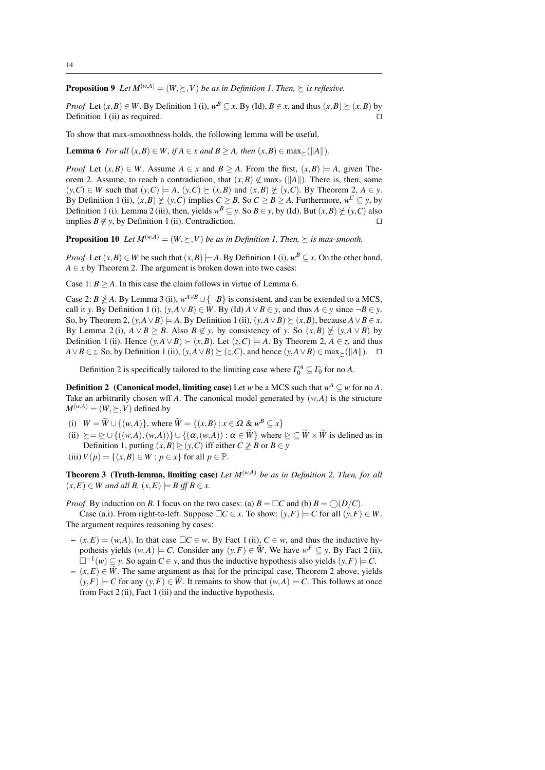**Proposition 9** Let  $M^{(w,A)} = (W, \succ, V)$  be as in Definition 1. Then,  $\succ$  is reflexive.

*Proof* Let  $(x, B) \in W$ . By Definition 1 (i),  $w^B \subseteq x$ . By (Id),  $B \in x$ , and thus  $(x, B) \succeq (x, B)$  by Definition 1 (ii) as required.  $\Box$ 

To show that max-smoothness holds, the following lemma will be useful.

**Lemma 6** *For all*  $(x, B) \in W$ *, if*  $A \in x$  *and*  $B > A$ *, then*  $(x, B) \in \max_{\geq} (\Vert A \Vert)$ *.* 

*Proof* Let  $(x, B) \in W$ . Assume  $A \in x$  and  $B > A$ . From the first,  $(x, B) \models A$ , given Theorem 2. Assume, to reach a contradiction, that  $(x, B) \notin \max_{\geq} (\Vert A \Vert)$ . There is, then, some  $(y, C) \in W$  such that  $(y, C) \models A$ ,  $(y, C) \succeq (x, B)$  and  $(x, B) \not\succeq (y, C)$ . By Theorem 2,  $A \in y$ . By Definition 1 (ii),  $(x, B) \neq (y, C)$  implies  $C \geq B$ . So  $C \geq B \geq A$ . Furthermore,  $w^C \subseteq y$ , by Definition 1 (i). Lemma 2 (iii), then, yields  $w^B \subseteq y$ . So  $B \in y$ , by (Id). But  $(x, B) \not\succeq (y, C)$  also implies *B* ∉ *y*, by Definition 1 (ii). Contradiction.  $□$ 

**Proposition 10** Let  $M^{(w,A)} = (W, \succ, V)$  be as in Definition 1. Then,  $\succ$  is max-smooth.

*Proof* Let  $(x, B) \in W$  be such that  $(x, B) \models A$ . By Definition 1 (i),  $w^B \subseteq x$ . On the other hand,  $A \in x$  by Theorem 2. The argument is broken down into two cases:

Case 1:  $B \ge A$ . In this case the claim follows in virtue of Lemma 6.

Case 2: *B*  $\ngeq$  *A*. By Lemma 3 (ii),  $w^{A \vee B} \cup \{\neg B\}$  is consistent, and can be extended to a MCS, call it *y*. By Definition 1 (i),  $(y, A \vee B) \in W$ . By (Id)  $A \vee B \in y$ , and thus  $A \in y$  since  $\neg B \in y$ . So, by Theorem 2,  $(y, A \vee B) \models A$ . By Definition 1 (ii),  $(y, A \vee B) \succeq (x, B)$ , because  $A \vee B \in x$ . By Lemma 2(i),  $A \lor B \geq B$ . Also  $B \notin y$ , by consistency of *y*. So  $(x, B) \not\leq (y, A \lor B)$  by Definition 1 (ii). Hence  $(y, A ∨ B) ≥ (x, B)$ . Let  $(z, C) |= A$ . By Theorem 2,  $A ∈ z$ , and thus *A*∨*B* ∈ *z*. So, by Definition 1 (ii),  $(y, A \vee B) \succeq (z, C)$ , and hence  $(y, A \vee B) \in \max_{\succ} (\Vert A \Vert)$ . □

Definition 2 is specifically tailored to the limiting case where  $\Gamma_0^A \subseteq \Gamma_0$  for no *A*.

**Definition 2** (Canonical model, limiting case) Let *w* be a MCS such that  $w^A \subseteq w$  for no *A*. Take an arbitrarily chosen wff *A*. The canonical model generated by  $(w, A)$  is the structure  $M^{(w,A)} = (W, \succeq, V)$  defined by

- (i)  $W = \widetilde{W} \cup \{(w, A)\}\)$ , where  $\widetilde{W} = \{(x, B) : x \in \Omega \& w^B \subseteq x\}$
- (ii)  $\succeq = \succeq \cup \{((w, A), (w, A))\} \cup \{(\alpha, (w, A)) : \alpha \in \widetilde{W}\}\$  where  $\succeq \subseteq \widetilde{W} \times \widetilde{W}$  is defined as in Definition 1, putting  $(x, B) \ge (y, C)$  iff either  $C \not\ge B$  or  $B \in y$
- (iii)  $V(p) = \{(x, B) \in W : p \in x\}$  for all  $p \in \mathbb{P}$ .

Theorem 3 (Truth-lemma, limiting case) *Let M*(*w*,*A*) *be as in Definition 2. Then, for all*  $(x, E) \in W$  and all B,  $(x, E) \models B$  iff  $B \in x$ .

*Proof* By induction on *B*. I focus on the two cases: (a)  $B = \Box C$  and (b)  $B = \bigcirc (D/C)$ .

Case (a.i). From right-to-left. Suppose  $\Box C \in x$ . To show:  $(y, F) \models C$  for all  $(y, F) \in W$ . The argument requires reasoning by cases:

- $-(x,E) = (w,A)$ . In that case *□C* ∈ *w*. By Fact 1 (ii), *C* ∈ *w*, and thus the inductive hypothesis yields  $(w, A) \models C$ . Consider any  $(y, F) \in \widetilde{W}$ . We have  $w^F \subseteq y$ . By Fact 2 (ii),  $\Box^{-1}(w) \subseteq y$ . So again  $C \in y$ , and thus the inductive hypothesis also yields  $(y, F) \models C$ .
- $-(x,E) \in \tilde{W}$ . The same argument as that for the principal case, Theorem 2 above, yields  $(y, F) \models C$  for any  $(y, F) \in \tilde{W}$ . It remains to show that  $(w, A) \models C$ . This follows at once from Fact 2 (ii), Fact 1 (iii) and the inductive hypothesis.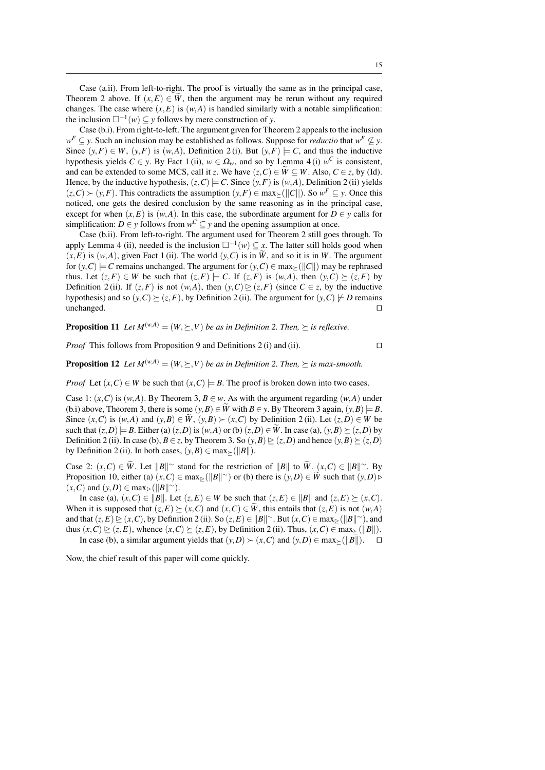Case (a.ii). From left-to-right. The proof is virtually the same as in the principal case, Theorem 2 above. If  $(x, E) \in \tilde{W}$ , then the argument may be rerun without any required changes. The case where  $(x, E)$  is  $(w, A)$  is handled similarly with a notable simplification: the inclusion  $\square^{-1}(w) \subseteq y$  follows by mere construction of *y*.

Case (b.i). From right-to-left. The argument given for Theorem 2 appeals to the inclusion  $w^F \subseteq y$ . Such an inclusion may be established as follows. Suppose for *reductio* that  $w^F \nsubseteq y$ . Since  $(y, F) \in W$ ,  $(y, F)$  is  $(w, A)$ , Definition 2(i). But  $(y, F) \models C$ , and thus the inductive hypothesis yields  $C \in y$ . By Fact 1 (ii),  $w \in \Omega_w$ , and so by Lemma 4 (i)  $w^C$  is consistent, and can be extended to some MCS, call it *z*. We have  $(z, C) \in W \subseteq W$ . Also,  $C \in z$ , by (Id). Hence, by the inductive hypothesis,  $(z, C) \models C$ . Since  $(y, F)$  is  $(w, A)$ , Definition 2 (ii) yields  $(z, C)$  ≻  $(y, F)$ . This contradicts the assumption  $(y, F)$  ∈ max<sub>≥</sub>(||*C*||). So  $w^F ⊆ y$ . Once this noticed, one gets the desired conclusion by the same reasoning as in the principal case, except for when  $(x, E)$  is  $(w, A)$ . In this case, the subordinate argument for  $D \in y$  calls for simplification: *D* ∈ *y* follows from  $w^C \subseteq y$  and the opening assumption at once.

Case (b.ii). From left-to-right. The argument used for Theorem 2 still goes through. To apply Lemma 4 (ii), needed is the inclusion  $\square^{-1}(w) \subseteq \mathcal{X}$ . The latter still holds good when  $(x, E)$  is  $(w, A)$ , given Fact 1 (ii). The world  $(y, C)$  is in  $\widetilde{W}$ , and so it is in *W*. The argument for  $(y, C) \models C$  remains unchanged. The argument for  $(y, C) \in \max_{\geq} (||C||)$  may be rephrased thus. Let  $(z, F) \in W$  be such that  $(z, F) \models C$ . If  $(z, F)$  is  $(w, A)$ , then  $(y, C) \succ (z, F)$  by Definition 2(ii). If  $(z, F)$  is not  $(w, A)$ , then  $(y, C) \triangleright (z, F)$  (since  $C \in z$ , by the inductive hypothesis) and so  $(y, C) \succeq (z, F)$ , by Definition 2 (ii). The argument for  $(y, C) \not\models D$  remains unchanged. unchanged.  $\square$ 

**Proposition 11** Let  $M^{(w,A)} = (W, \succeq, V)$  *be as in Definition 2. Then,*  $\succeq$  *is reflexive.* 

*Proof* This follows from Proposition 9 and Definitions 2 (i) and (ii).  $\square$ 

**Proposition 12** Let  $M^{(w,A)} = (W, \succ, V)$  be as in Definition 2. Then,  $\succ$  is max-smooth.

*Proof* Let  $(x, C) \in W$  be such that  $(x, C) \models B$ . The proof is broken down into two cases.

Case 1:  $(x, C)$  is  $(w, A)$ . By Theorem 3,  $B \in w$ . As with the argument regarding  $(w, A)$  under (b.i) above, Theorem 3, there is some  $(y, B) \in \widetilde{W}$  with  $B \in y$ . By Theorem 3 again,  $(y, B) \models B$ . Since  $(x, C)$  is  $(w, A)$  and  $(y, B) \in \widetilde{W}$ ,  $(y, B) \succ (x, C)$  by Definition 2 (ii). Let  $(z, D) \in W$  be such that  $(z, D) = B$ . Either (a)  $(z, D)$  is  $(w, A)$  or (b)  $(z, D) \in W$ . In case (a),  $(y, B) \succeq (z, D)$  by Definition 2 (ii). In case (b),  $B \in \mathbb{Z}$ , by Theorem 3. So  $(y, B) \ge (z, D)$  and hence  $(y, B) \ge (z, D)$ by Definition 2 (ii). In both cases,  $(y, B) \in \max_{\geq} (\Vert B \Vert)$ .

Case 2:  $(x, C) \in W$ . Let  $||B||^{\infty}$  stand for the restriction of  $||B||$  to  $W$ .  $(x, C) \in ||B||^{\infty}$ . By Proposition 10, either (a)  $(x, C) \in \max_{\geq} (\|B\|^\sim)$  or (b) there is  $(y, D) \in W$  such that  $(y, D) \in \mathbb{R}$ .  $(x, C)$  and  $(y, D) \in \max_{\geq} (\Vert B \Vert^{\sim}).$ 

In case (a),  $(x, C) \in ||B||$ . Let  $(z, E) \in W$  be such that  $(z, E) \in ||B||$  and  $(z, E) \succ (x, C)$ . When it is supposed that  $(z, E) \succeq (x, C)$  and  $(x, C) \in \tilde{W}$ , this entails that  $(z, E)$  is not  $(w, A)$ and that  $(z, E) \ge (x, C)$ , by Definition 2 (ii). So  $(z, E) \in ||B||^{\infty}$ . But  $(x, C) \in \max_{\ge} (||B||^{\infty})$ , and thus  $(x, C) \ge (z, E)$ , whence  $(x, C) \ge (z, E)$ , by Definition 2 (ii). Thus,  $(x, C) \in \max_{\ge} (\|B\|)$ . In case (b), a similar argument yields that  $(y, D) \succ (x, C)$  and  $(y, D) \in \max_{\succ} (\Vert B \Vert)$ .  $\Box$ 

Now, the chief result of this paper will come quickly.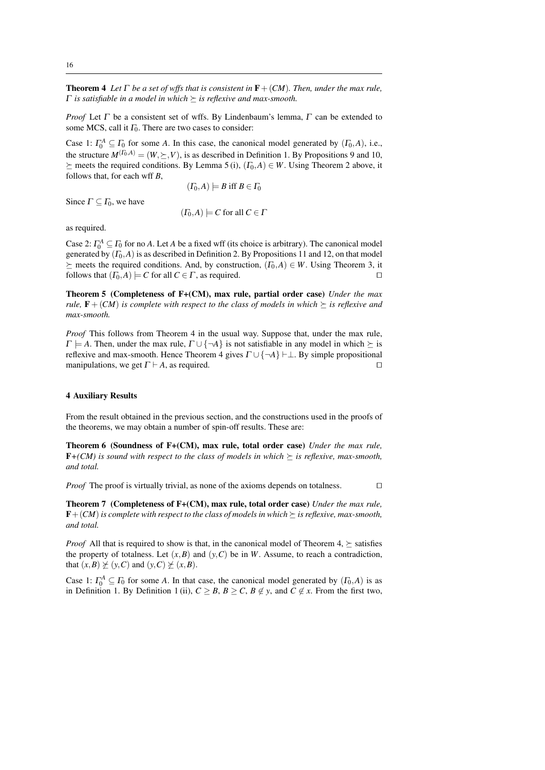**Theorem 4** Let  $\Gamma$  be a set of wffs that is consistent in  $\mathbf{F} + (CM)$ . Then, under the max rule, Γ *is satisfiable in a model in which is reflexive and max-smooth.*

*Proof* Let Γ be a consistent set of wffs. By Lindenbaum's lemma, Γ can be extended to some MCS, call it  $\Gamma_0$ . There are two cases to consider:

Case 1:  $\Gamma_0^A \subseteq \Gamma_0$  for some *A*. In this case, the canonical model generated by  $(\Gamma_0, A)$ , i.e., the structure  $M^{(\Gamma_0, A)} = (W, \succeq, V)$ , is as described in Definition 1. By Propositions 9 and 10,  $\succeq$  meets the required conditions. By Lemma 5 (i),  $(\Gamma_0, A) \in W$ . Using Theorem 2 above, it follows that, for each wff *B*,

$$
(\varGamma_0,A)\models B\ {\rm iff}\ B\in\varGamma_0
$$

Since  $\Gamma \subseteq \Gamma_0$ , we have

$$
(\Gamma_0, A) \models C \text{ for all } C \in \Gamma
$$

as required.

Case 2:  $\Gamma_0^A \subseteq \Gamma_0$  for no *A*. Let *A* be a fixed wff (its choice is arbitrary). The canonical model generated by  $(\Gamma_0, A)$  is as described in Definition 2. By Propositions 11 and 12, on that model  $\succeq$  meets the required conditions. And, by construction,  $(I_0, A) \in W$ . Using Theorem 3, it follows that  $(I_0, A) \models C$  for all  $C \in \Gamma$ , as required. follows that  $(\Gamma_0, A) \models C$  for all  $C \in \Gamma$ , as required.

Theorem 5 (Completeness of F+(CM), max rule, partial order case) *Under the max rule,*  $\mathbf{F} + (CM)$  *is complete with respect to the class of models in which*  $\succeq$  *is reflexive and max-smooth.*

*Proof* This follows from Theorem 4 in the usual way. Suppose that, under the max rule,  $\Gamma \models A$ . Then, under the max rule,  $\Gamma \cup \{\neg A\}$  is not satisfiable in any model in which  $\succeq$  is reflexive and max-smooth. Hence Theorem 4 gives  $\Gamma \cup \{\neg A\} \vdash \bot$ . By simple propositional manipulations, we get  $\Gamma \vdash A$ , as required. manipulations, we get  $\Gamma \vdash A$ , as required.

#### 4 Auxiliary Results

From the result obtained in the previous section, and the constructions used in the proofs of the theorems, we may obtain a number of spin-off results. These are:

Theorem 6 (Soundness of F+(CM), max rule, total order case) *Under the max rule,*  **is sound with respect to the class of models in which**  $\succeq$  **is reflexive, max-smooth,** *and total.*

*Proof* The proof is virtually trivial, as none of the axioms depends on totalness.  $\square$ 

Theorem 7 (Completeness of F+(CM), max rule, total order case) *Under the max rule,*  $\mathbf{F} + (CM)$  *is complete with respect to the class of models in which*  $\succeq$  *is reflexive, max-smooth, and total.*

*Proof* All that is required to show is that, in the canonical model of Theorem 4,  $\succeq$  satisfies the property of totalness. Let  $(x, B)$  and  $(y, C)$  be in *W*. Assume, to reach a contradiction, that  $(x, B) \not\succeq (y, C)$  and  $(y, C) \not\succeq (x, B)$ .

Case 1:  $\Gamma_0^A \subseteq \Gamma_0$  for some *A*. In that case, the canonical model generated by  $(\Gamma_0, A)$  is as in Definition 1. By Definition 1 (ii),  $C \geq B$ ,  $B \geq C$ ,  $B \notin y$ , and  $C \notin x$ . From the first two,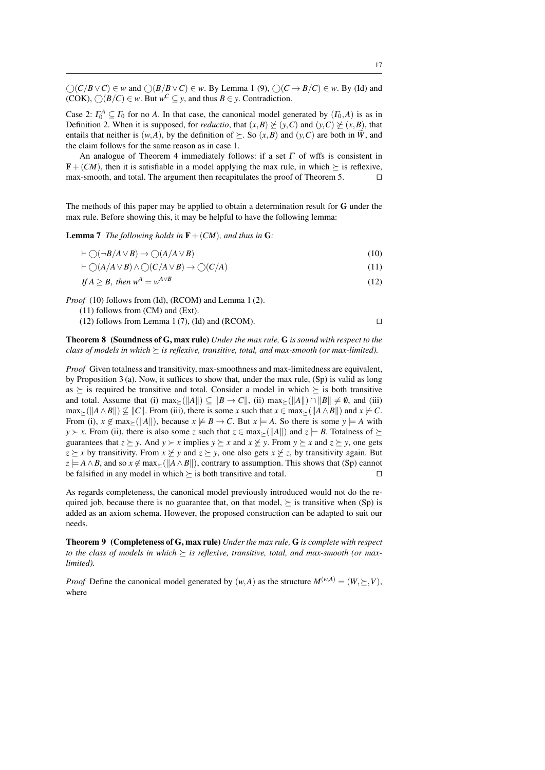$\bigcirc$  (*C*/*B*∨*C*) ∈ *w* and  $\bigcirc$  (*B*/*B*∨*C*) ∈ *w*. By Lemma 1 (9),  $\bigcirc$  (*C* → *B*/*C*) ∈ *w*. By (Id) and (COK),  $\bigcirc (B/C) \in w$ . But  $w^C \subseteq y$ , and thus  $B \in y$ . Contradiction.

Case 2:  $\Gamma_0^A \subseteq \Gamma_0$  for no *A*. In that case, the canonical model generated by  $(\Gamma_0, A)$  is as in Definition 2. When it is supposed, for *reductio*, that  $(x, B) \not\geq (y, C)$  and  $(y, C) \not\geq (x, B)$ , that entails that neither is  $(w, A)$ , by the definition of  $\succeq$ . So  $(x, B)$  and  $(y, C)$  are both in  $\hat{W}$ , and the claim follows for the same reason as in case 1.

An analogue of Theorem 4 immediately follows: if a set  $\Gamma$  of wffs is consistent in **, then it is satisfiable in a model applying the max rule, in which**  $\succeq$  **is reflexive, max-smooth, and total. The argument then recapitulates the proof of Theorem 5.** max-smooth, and total. The argument then recapitulates the proof of Theorem 5.

The methods of this paper may be applied to obtain a determination result for G under the max rule. Before showing this, it may be helpful to have the following lemma:

**Lemma 7** *The following holds in*  $\mathbf{F} + (CM)$ *, and thus in* **G***:* 

$$
\vdash \bigcirc (\neg B/A \lor B) \to \bigcirc (A/A \lor B) \tag{10}
$$

$$
\vdash \bigcirc (A/A \lor B) \land \bigcirc (C/A \lor B) \to \bigcirc (C/A) \tag{11}
$$

$$
If A \geq B, then w^A = w^{A \vee B} \tag{12}
$$

*Proof* (10) follows from (Id), (RCOM) and Lemma 1 (2).

- (11) follows from (CM) and (Ext).
- (12) follows from Lemma 1 (7), (Id) and (RCOM).  $\square$

Theorem 8 (Soundness of G, max rule) *Under the max rule,* G *is sound with respect to the class of models in which*  $\succeq$  *is reflexive, transitive, total, and max-smooth (or max-limited).* 

*Proof* Given totalness and transitivity, max-smoothness and max-limitedness are equivalent, by Proposition 3 (a). Now, it suffices to show that, under the max rule,  $(Sp)$  is valid as long as  $\succeq$  is required be transitive and total. Consider a model in which  $\succeq$  is both transitive and total. Assume that (i)  $\max_{\mathbf{A}} \left( \|\mathbf{A}\| \right) \subseteq \|\mathbf{B} \to \mathbf{C}\|$ , (ii)  $\max_{\mathbf{A}} \left( \|\mathbf{A}\| \right) \cap \|\mathbf{B}\| \neq \emptyset$ , and (iii)  $\max_{\mathcal{F}} (||A \wedge B||) \nsubseteq ||C||$ . From (iii), there is some *x* such that  $x \in \max_{\mathcal{F}} (||A \wedge B||)$  and  $x \not\models C$ . From (i),  $x \notin \max_{\geq} (\Vert A \Vert)$ , because  $x \not\models B \rightarrow C$ . But  $x \models A$ . So there is some  $y \models A$  with *y*  $\times$  *x*. From (ii), there is also some *z* such that  $z \in max_{\ge} (||A||)$  and  $z = B$ . Totalness of  $\succeq$ guarantees that  $z \succeq y$ . And  $y \succ x$  implies  $y \succeq x$  and  $x \not\succeq y$ . From  $y \succeq x$  and  $z \succeq y$ , one gets  $z \ge x$  by transitivity. From  $x \not\ge y$  and  $z \ge y$ , one also gets  $x \not\ge z$ , by transitivity again. But  $z \models A \land B$ , and so  $x \notin \max_{\geq} (\Vert A \land B \Vert)$ , contrary to assumption. This shows that (Sp) cannot be falsified in any model in which  $\succ$  is both transitive and total be falsified in any model in which  $\succeq$  is both transitive and total.

As regards completeness, the canonical model previously introduced would not do the required job, because there is no guarantee that, on that model,  $\succ$  is transitive when (Sp) is added as an axiom schema. However, the proposed construction can be adapted to suit our needs.

Theorem 9 (Completeness of G, max rule) *Under the max rule,* G *is complete with respect to the class of models in which*  $\succeq$  *is reflexive, transitive, total, and max-smooth (or maxlimited).*

*Proof* Define the canonical model generated by  $(w, A)$  as the structure  $M^{(w, A)} = (W, \geq, V)$ , where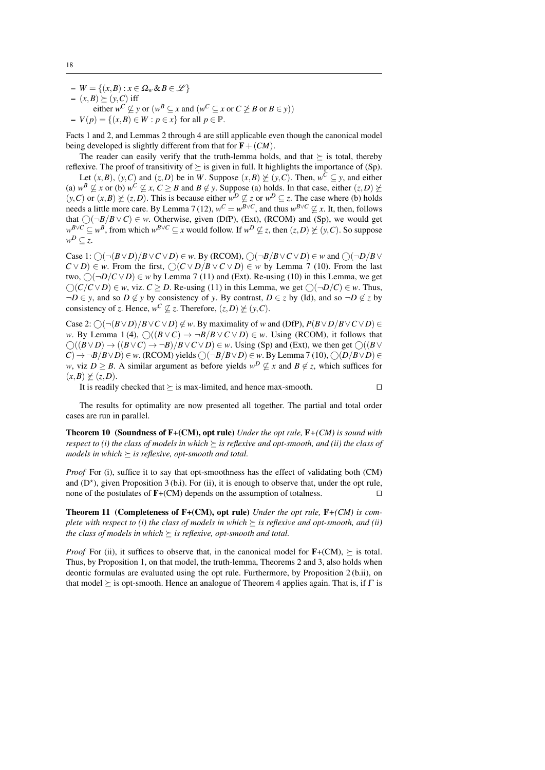– *W* = {(*x*,*B*) : *x* ∈ Ω*<sup>w</sup>* &*B* ∈ L }

- $(x,B) \succeq (y,C)$  iff
- either  $w^C \nsubseteq y$  or  $(w^B \subseteq x$  and  $(w^C \subseteq x$  or  $C \not\geq B$  or  $B \in y)$ ) – *<sup>V</sup>*(*p*) = {(*x*,*B*) <sup>∈</sup> *<sup>W</sup>* : *<sup>p</sup>* <sup>∈</sup> *<sup>x</sup>*} for all *<sup>p</sup>* <sup>∈</sup> <sup>P</sup>.

Facts 1 and 2, and Lemmas 2 through 4 are still applicable even though the canonical model being developed is slightly different from that for  $F + (CM)$ .

The reader can easily verify that the truth-lemma holds, and that  $\succeq$  is total, thereby reflexive. The proof of transitivity of  $\succeq$  is given in full. It highlights the importance of (Sp).

Let  $(x, B)$ ,  $(y, C)$  and  $(z, D)$  be in *W*. Suppose  $(x, B) \not\geq (y, C)$ . Then,  $w^C \subseteq y$ , and either (a)  $w^B \not\subseteq x$  or (b)  $w^C \not\subseteq x$ ,  $C \geq B$  and  $B \not\in y$ . Suppose (a) holds. In that case, either  $(z, D) \not\succeq z$  $(y, C)$  or  $(x, B) \not\succeq (z, D)$ . This is because either  $w^D \not\subseteq z$  or  $w^D \subseteq z$ . The case where (b) holds needs a little more care. By Lemma 7 (12),  $w^C = w^{B \vee C}$ , and thus  $w^{B \vee C} \nsubseteq x$ . It, then, follows that  $\bigcirc$ ( $\neg B/B \vee C$ )  $\in w$ . Otherwise, given (DfP), (Ext), (RCOM) and (Sp), we would get *w*<sup>*B*∨*C*</sup> ⊆ *w*<sup>*B*</sup>, from which  $w^{B\vee C}$  ⊆ *x* would follow. If  $w^D \nsubseteq z$ , then  $(z, D) \ncong (y, C)$ . So suppose  $w^D \subseteq z$ .

Case 1:  $\bigcap (\neg (B \lor D)/B \lor C \lor D) \in w$ . By (RCOM),  $\bigcap (\neg B/B \lor C \lor D) \in w$  and  $\bigcap (\neg D/B \lor C \lor D)$  $C \vee D$   $\in$  *w*. From the first,  $\bigcap (C \vee D/B \vee C \vee D) \in w$  by Lemma 7 (10). From the last two,  $\bigcap_{i=1}^{n}$  ( $\bigcap_{i=1}^{n}$  *C*  $\vee$  *D*)  $\in$  *w* by Lemma 7 (11) and (Ext). Re-using (10) in this Lemma, we get  $(∩(C/C ∨ D) ∈ w$ , viz. *C* ≥ *D*. Re-using (11) in this Lemma, we get  $(∩-D/C) ∈ w$ . Thus,  $\neg D \in y$ , and so  $D \notin y$  by consistency of *y*. By contrast,  $D \in z$  by (Id), and so  $\neg D \notin z$  by consistency of *z*. Hence,  $w^C \not\subseteq z$ . Therefore,  $(z, D) \not\succeq (y, C)$ .

Case 2:  $\bigcirc$   $(\neg (B \lor D) / B \lor C \lor D) \notin w$ . By maximality of *w* and (DfP),  $P(B \lor D / B \lor C \lor D) \in$ *w*. By Lemma 1(4),  $\bigcirc$   $((B \lor C) \to \neg B/B \lor C \lor D) \in w$ . Using (RCOM), it follows that  $\bigcirc$ ( $(B \vee D) \rightarrow ((B \vee C) \rightarrow \neg B)/B \vee C \vee D) \in w$ . Using (Sp) and (Ext), we then get  $\bigcirc$ ( $(B \vee C)$ )  $C$  →  $\neg B/B \lor D$  ∈ *w*. (RCOM) yields  $\bigcirc$  ( $\neg B/B \lor D$ ) ∈ *w*. By Lemma 7 (10),  $\bigcirc$  ( $D/B \lor D$ ) ∈ *w*, viz *D*  $\geq$  *B*. A similar argument as before yields  $w^D \nsubseteq x$  and  $B \notin z$ , which suffices for  $(x, B) \not\succeq (z, D).$ 

It is readily checked that  $\succ$  is max-limited, and hence max-smooth.  $\square$ 

The results for optimality are now presented all together. The partial and total order cases are run in parallel.

Theorem 10 (Soundness of F+(CM), opt rule) *Under the opt rule,* F*+(CM) is sound with respect to (i) the class of models in which*  $\succeq$  *is reflexive and opt-smooth, and (ii) the class of models in which*  $\succeq$  *is reflexive, opt-smooth and total.* 

*Proof* For (i), suffice it to say that opt-smoothness has the effect of validating both (CM) and  $(D^*)$ , given Proposition 3 (b.i). For (ii), it is enough to observe that, under the opt rule, none of the postulates of  $F+(CM)$  depends on the assumption of totalness.

Theorem 11 (Completeness of F+(CM), opt rule) *Under the opt rule,* F*+(CM) is complete with respect to (i) the class of models in which*  $\geq$  *is reflexive and opt-smooth, and (ii) the class of models in which*  $\succeq$  *is reflexive, opt-smooth and total.* 

*Proof* For (ii), it suffices to observe that, in the canonical model for  $F+(CM)$ ,  $\succeq$  is total. Thus, by Proposition 1, on that model, the truth-lemma, Theorems 2 and 3, also holds when deontic formulas are evaluated using the opt rule. Furthermore, by Proposition 2 (b.ii), on that model  $\succeq$  is opt-smooth. Hence an analogue of Theorem 4 applies again. That is, if  $\Gamma$  is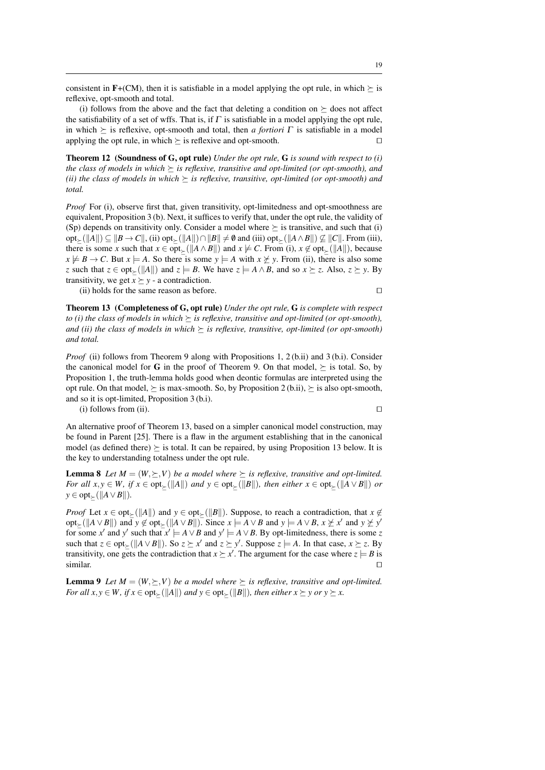consistent in  $F+(CM)$ , then it is satisfiable in a model applying the opt rule, in which  $\succeq$  is reflexive, opt-smooth and total.

(i) follows from the above and the fact that deleting a condition on  $\succeq$  does not affect the satisfiability of a set of wffs. That is, if  $\Gamma$  is satisfiable in a model applying the opt rule, in which  $\succeq$  is reflexive, opt-smooth and total, then *a fortiori*  $\Gamma$  is satisfiable in a model applying the opt rule, in which  $\succeq$  is reflexive and opt-smooth. applying the opt rule, in which  $\succeq$  is reflexive and opt-smooth.

Theorem 12 (Soundness of G, opt rule) *Under the opt rule,* G *is sound with respect to (i) the class of models in which*  $\succeq$  *is reflexive, transitive and opt-limited (or opt-smooth), and (ii) the class of models in which*  $\succeq$  *is reflexive, transitive, opt-limited (or opt-smooth) and total.*

*Proof* For (i), observe first that, given transitivity, opt-limitedness and opt-smoothness are equivalent, Proposition 3 (b). Next, it suffices to verify that, under the opt rule, the validity of (Sp) depends on transitivity only. Consider a model where  $\succeq$  is transitive, and such that (i)  $opt_{\succ}(\Vert A\Vert) \subseteq \Vert B \to C\Vert$ , (ii)  $opt_{\succ}(\Vert A\Vert) \cap \Vert B\Vert \neq \emptyset$  and (iii) opt<sub> $\succ$ </sub>( $\Vert A \land B\Vert$ ) ⊄  $\Vert C\Vert$ . From (iii), there is some *x* such that  $x \in opt_{\succ}(\|A \wedge B\|)$  and  $x \not\models C$ . From (i),  $x \not\in opt_{\succ}(\|A\|)$ , because  $x \not\models B \rightarrow C$ . But  $x \models A$ . So there is some  $y \models A$  with  $x \not\geq y$ . From (ii), there is also some *z* such that  $z \in opt_{\succ}(\|A\|)$  and  $z \models B$ . We have  $z \models A \land B$ , and so  $x \succeq z$ . Also,  $z \succeq y$ . By transitivity, we get  $x \succeq y$  - a contradiction.

(ii) holds for the same reason as before.  $\Box$ 

Theorem 13 (Completeness of G, opt rule) *Under the opt rule,* G *is complete with respect to (i) the class of models in which*  $\succeq$  *is reflexive, transitive and opt-limited (or opt-smooth), and (ii) the class of models in which*  $\succeq$  *is reflexive, transitive, opt-limited (or opt-smooth) and total.*

*Proof* (ii) follows from Theorem 9 along with Propositions 1, 2 (b.ii) and 3 (b.i). Consider the canonical model for G in the proof of Theorem 9. On that model,  $\succ$  is total. So, by Proposition 1, the truth-lemma holds good when deontic formulas are interpreted using the opt rule. On that model,  $\succeq$  is max-smooth. So, by Proposition 2 (b.ii),  $\succeq$  is also opt-smooth, and so it is opt-limited, Proposition 3 (b.i).

(i) follows from (ii).  $\Box$ 

An alternative proof of Theorem 13, based on a simpler canonical model construction, may be found in Parent [25]. There is a flaw in the argument establishing that in the canonical model (as defined there)  $\succeq$  is total. It can be repaired, by using Proposition 13 below. It is the key to understanding totalness under the opt rule.

**Lemma 8** Let  $M = (W, \succeq, V)$  *be a model where*  $\succeq$  *is reflexive, transitive and opt-limited. For all x*, *y*  $\in$  *W*, *if*  $x \in \text{opt}_{\succ}(\|A\|)$  *and*  $y \in \text{opt}_{\succ}(\|B\|)$ *, then either*  $x \in \text{opt}_{\succ}(\|A \vee B\|)$  *or y* ∈ opt<sub>≻</sub>( $||A ∨ B||$ ).

*Proof* Let  $x \in opt_{\succ}(\Vert A \Vert)$  and  $y \in opt_{\succ}(\Vert B \Vert)$ . Suppose, to reach a contradiction, that  $x \notin$ opt<sub> $\succeq$ </sub>( $\|A \vee B\|$ ) and  $y \not\in \text{opt}_{\succeq}$ ( $\|A \vee B\|$ ). Since  $x \models A \vee B$  and  $y \models A \vee B$ ,  $x \not\succeq x'$  and  $y \not\succeq y'$ for some *x'* and *y'* such that  $x' \models A \lor B$  and  $y' \models A \lor B$ . By opt-limitedness, there is some *z* such that  $z \in opt_{\geq} (\Vert A \vee B \Vert)$ . So  $z \geq x'$  and  $z \geq y'$ . Suppose  $z \models A$ . In that case,  $x \geq z$ . By transitivity, one gets the contradiction that  $x \succeq x'$ . The argument for the case where  $z \models B$  is similar.  $\square$ 

**Lemma 9** Let  $M = (W, \succeq, V)$  be a model where  $\succeq$  is reflexive, transitive and opt-limited. *For all x*, *y*  $\in$  *W, if*  $x \in \text{opt}_{\succ}(\Vert A \Vert)$  *and*  $y \in \text{opt}_{\succ}(\Vert B \Vert)$ *, then either*  $x \succeq y$  *or*  $y \succeq x$ *.*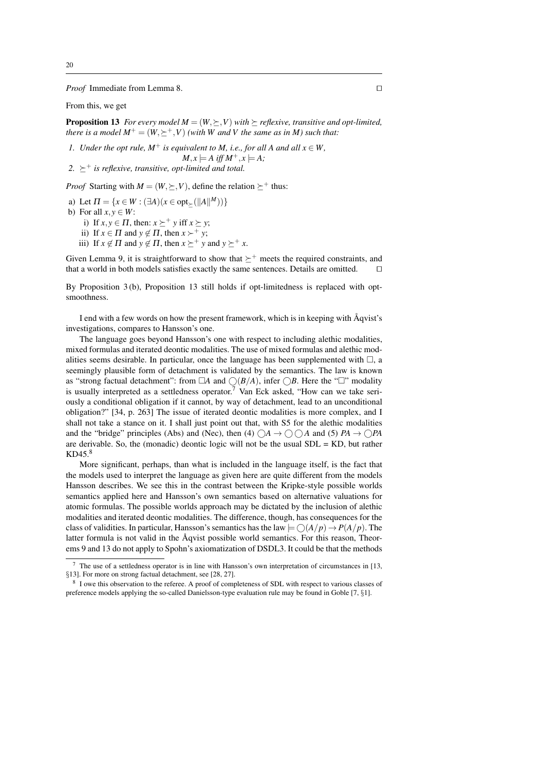*Proof* Immediate from Lemma 8. □

From this, we get

**Proposition 13** *For every model*  $M = (W, \succeq, V)$  *with*  $\succeq$  *reflexive, transitive and opt-limited, there is a model*  $M^+ = (W, \succ^+, V)$  *(with* W and V the same as in M) such that:

*1. Under the opt rule,*  $M^+$  *is equivalent to M, i.e., for all A and all*  $x \in W$ ,

 $M, x \models A$  iff  $M^+, x \models A$ ;

2.  $\succ^+$  *is reflexive, transitive, opt-limited and total.* 

*Proof* Starting with  $M = (W, \succ, V)$ , define the relation  $\succ^+$  thus:

a) Let  $\Pi = \{x \in W : (\exists A)(x \in \text{opt}_{\succeq}(\|A\|^M)))\}$ 

b) For all  $x, y \in W$ :

- i) If  $x, y \in \Pi$ , then:  $x \succeq^+ y$  iff  $x \succeq y$ ;
- ii) If  $x \in \Pi$  and  $y \notin \Pi$ , then  $x \succ^+ y$ ;
- iii) If  $x \notin \Pi$  and  $y \notin \Pi$ , then  $x \succeq^+ y$  and  $y \succeq^+ x$ .

Given Lemma 9, it is straightforward to show that  $\succeq^+$  meets the required constraints, and that a world in both models satisfies exactly the same sentences. Details are omitted. that a world in both models satisfies exactly the same sentences. Details are omitted.

By Proposition 3 (b), Proposition 13 still holds if opt-limitedness is replaced with optsmoothness.

I end with a few words on how the present framework, which is in keeping with Aqvist's ˚ investigations, compares to Hansson's one.

The language goes beyond Hansson's one with respect to including alethic modalities, mixed formulas and iterated deontic modalities. The use of mixed formulas and alethic modalities seems desirable. In particular, once the language has been supplemented with  $\Box$ , a seemingly plausible form of detachment is validated by the semantics. The law is known as "strong factual detachment": from  $\Box A$  and  $\bigcirc(B/A)$ , infer  $\bigcirc B$ . Here the " $\Box$ " modality is usually interpreted as a settledness operator.<sup>7</sup> Van Eck asked, "How can we take seriously a conditional obligation if it cannot, by way of detachment, lead to an unconditional obligation?" [34, p. 263] The issue of iterated deontic modalities is more complex, and I shall not take a stance on it. I shall just point out that, with S5 for the alethic modalities and the "bridge" principles (Abs) and (Nec), then (4)  $\bigcirc A \rightarrow \bigcirc \bigcirc A$  and (5)  $PA \rightarrow \bigcirc PA$ are derivable. So, the (monadic) deontic logic will not be the usual  $SDL = KD$ , but rather KD45.<sup>8</sup>

More significant, perhaps, than what is included in the language itself, is the fact that the models used to interpret the language as given here are quite different from the models Hansson describes. We see this in the contrast between the Kripke-style possible worlds semantics applied here and Hansson's own semantics based on alternative valuations for atomic formulas. The possible worlds approach may be dictated by the inclusion of alethic modalities and iterated deontic modalities. The difference, though, has consequences for the class of validities. In particular, Hansson's semantics has the law  $\models \bigcirc(A/p) \rightarrow P(A/p)$ . The latter formula is not valid in the Aqvist possible world semantics. For this reason, Theorems 9 and 13 do not apply to Spohn's axiomatization of DSDL3. It could be that the methods

<sup>7</sup> The use of a settledness operator is in line with Hansson's own interpretation of circumstances in [13, §13]. For more on strong factual detachment, see [28, 27].

<sup>8</sup> I owe this observation to the referee. A proof of completeness of SDL with respect to various classes of preference models applying the so-called Danielsson-type evaluation rule may be found in Goble [7, §1].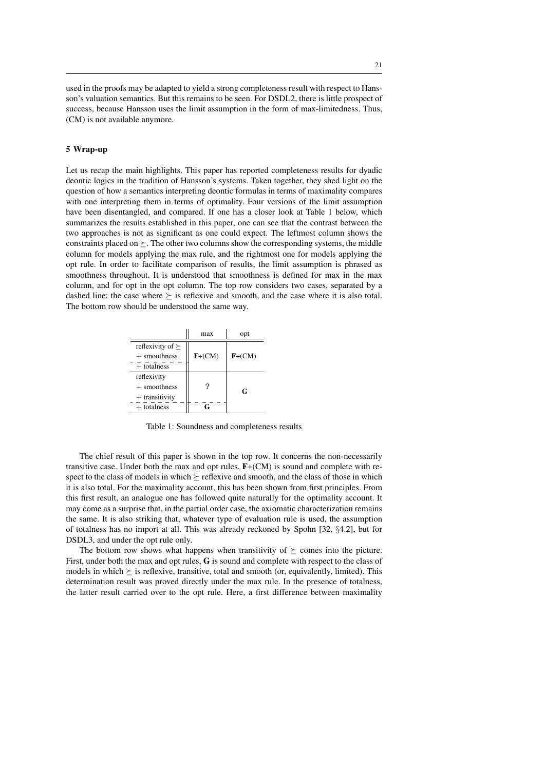used in the proofs may be adapted to yield a strong completeness result with respect to Hansson's valuation semantics. But this remains to be seen. For DSDL2, there is little prospect of success, because Hansson uses the limit assumption in the form of max-limitedness. Thus, (CM) is not available anymore.

### 5 Wrap-up

Let us recap the main highlights. This paper has reported completeness results for dyadic deontic logics in the tradition of Hansson's systems. Taken together, they shed light on the question of how a semantics interpreting deontic formulas in terms of maximality compares with one interpreting them in terms of optimality. Four versions of the limit assumption have been disentangled, and compared. If one has a closer look at Table 1 below, which summarizes the results established in this paper, one can see that the contrast between the two approaches is not as significant as one could expect. The leftmost column shows the constraints placed on  $\succeq$ . The other two columns show the corresponding systems, the middle column for models applying the max rule, and the rightmost one for models applying the opt rule. In order to facilitate comparison of results, the limit assumption is phrased as smoothness throughout. It is understood that smoothness is defined for max in the max column, and for opt in the opt column. The top row considers two cases, separated by a dashed line: the case where  $\succ$  is reflexive and smooth, and the case where it is also total. The bottom row should be understood the same way.

|                                                | max      | opt      |
|------------------------------------------------|----------|----------|
| reflexivity of $\succeq$<br>$+$ smoothness     | $F+(CM)$ | $F+(CM)$ |
| $+$ totalness<br>reflexivity<br>$+$ smoothness | ?        |          |
| $+$ transitivity<br>$+$ totalness              | c        | G        |

Table 1: Soundness and completeness results

The chief result of this paper is shown in the top row. It concerns the non-necessarily transitive case. Under both the max and opt rules,  $F+(CM)$  is sound and complete with respect to the class of models in which  $\succeq$  reflexive and smooth, and the class of those in which it is also total. For the maximality account, this has been shown from first principles. From this first result, an analogue one has followed quite naturally for the optimality account. It may come as a surprise that, in the partial order case, the axiomatic characterization remains the same. It is also striking that, whatever type of evaluation rule is used, the assumption of totalness has no import at all. This was already reckoned by Spohn [32, §4.2], but for DSDL3, and under the opt rule only.

The bottom row shows what happens when transitivity of  $\succeq$  comes into the picture. First, under both the max and opt rules, G is sound and complete with respect to the class of models in which  $\succ$  is reflexive, transitive, total and smooth (or, equivalently, limited). This determination result was proved directly under the max rule. In the presence of totalness, the latter result carried over to the opt rule. Here, a first difference between maximality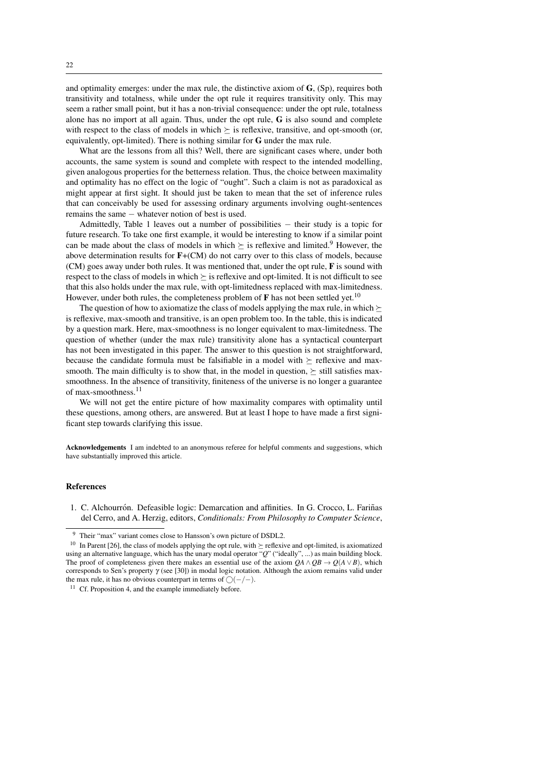and optimality emerges: under the max rule, the distinctive axiom of  $\mathbf{G}$ , (Sp), requires both transitivity and totalness, while under the opt rule it requires transitivity only. This may seem a rather small point, but it has a non-trivial consequence: under the opt rule, totalness alone has no import at all again. Thus, under the opt rule,  **is also sound and complete** with respect to the class of models in which  $\succeq$  is reflexive, transitive, and opt-smooth (or, equivalently, opt-limited). There is nothing similar for G under the max rule.

What are the lessons from all this? Well, there are significant cases where, under both accounts, the same system is sound and complete with respect to the intended modelling, given analogous properties for the betterness relation. Thus, the choice between maximality and optimality has no effect on the logic of "ought". Such a claim is not as paradoxical as might appear at first sight. It should just be taken to mean that the set of inference rules that can conceivably be used for assessing ordinary arguments involving ought-sentences remains the same − whatever notion of best is used.

Admittedly, Table 1 leaves out a number of possibilities − their study is a topic for future research. To take one first example, it would be interesting to know if a similar point can be made about the class of models in which  $\succeq$  is reflexive and limited.<sup>9</sup> However, the above determination results for  $F+(CM)$  do not carry over to this class of models, because (CM) goes away under both rules. It was mentioned that, under the opt rule, F is sound with respect to the class of models in which  $\succ$  is reflexive and opt-limited. It is not difficult to see that this also holds under the max rule, with opt-limitedness replaced with max-limitedness. However, under both rules, the completeness problem of  $\bf{F}$  has not been settled yet.<sup>10</sup>

The question of how to axiomatize the class of models applying the max rule, in which  $\succeq$ is reflexive, max-smooth and transitive, is an open problem too. In the table, this is indicated by a question mark. Here, max-smoothness is no longer equivalent to max-limitedness. The question of whether (under the max rule) transitivity alone has a syntactical counterpart has not been investigated in this paper. The answer to this question is not straightforward, because the candidate formula must be falsifiable in a model with  $\succeq$  reflexive and maxsmooth. The main difficulty is to show that, in the model in question,  $\succeq$  still satisfies maxsmoothness. In the absence of transitivity, finiteness of the universe is no longer a guarantee of max-smoothness.<sup>11</sup>

We will not get the entire picture of how maximality compares with optimality until these questions, among others, are answered. But at least I hope to have made a first significant step towards clarifying this issue.

Acknowledgements I am indebted to an anonymous referee for helpful comments and suggestions, which have substantially improved this article.

#### References

1. C. Alchourrón. Defeasible logic: Demarcation and affinities. In G. Crocco, L. Fariñas del Cerro, and A. Herzig, editors, *Conditionals: From Philosophy to Computer Science*,

<sup>9</sup> Their "max" variant comes close to Hansson's own picture of DSDL2.

<sup>&</sup>lt;sup>10</sup> In Parent [26], the class of models applying the opt rule, with  $\succeq$  reflexive and opt-limited, is axiomatized using an alternative language, which has the unary modal operator "*Q*" ("ideally", ...) as main building block. The proof of completeness given there makes an essential use of the axiom  $QA \wedge OB \rightarrow Q(A \vee B)$ , which corresponds to Sen's property  $\gamma$  (see [30]) in modal logic notation. Although the axiom remains valid under the max rule, it has no obvious counterpart in terms of  $\bigcap (-/-)$ .

<sup>&</sup>lt;sup>11</sup> Cf. Proposition 4, and the example immediately before.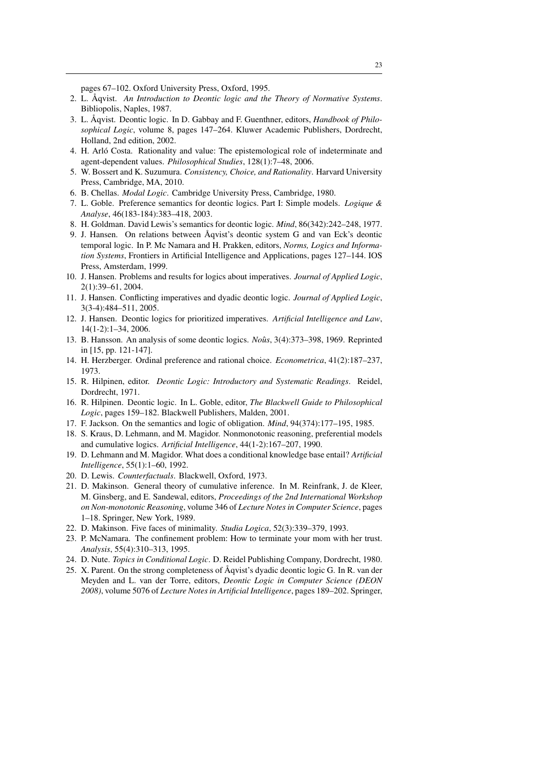pages 67–102. Oxford University Press, Oxford, 1995.

- 2. L. Åqvist. An Introduction to Deontic logic and the Theory of Normative Systems. Bibliopolis, Naples, 1987.
- 3. L. Åqvist. Deontic logic. In D. Gabbay and F. Guenthner, editors, *Handbook of Philosophical Logic*, volume 8, pages 147–264. Kluwer Academic Publishers, Dordrecht, Holland, 2nd edition, 2002.
- 4. H. Arlo Costa. Rationality and value: The epistemological role of indeterminate and ´ agent-dependent values. *Philosophical Studies*, 128(1):7–48, 2006.
- 5. W. Bossert and K. Suzumura. *Consistency, Choice, and Rationality*. Harvard University Press, Cambridge, MA, 2010.
- 6. B. Chellas. *Modal Logic*. Cambridge University Press, Cambridge, 1980.
- 7. L. Goble. Preference semantics for deontic logics. Part I: Simple models. *Logique & Analyse*, 46(183-184):383–418, 2003.
- 8. H. Goldman. David Lewis's semantics for deontic logic. *Mind*, 86(342):242–248, 1977.
- 9. J. Hansen. On relations between Aqvist's deontic system G and van Eck's deontic temporal logic. In P. Mc Namara and H. Prakken, editors, *Norms, Logics and Information Systems*, Frontiers in Artificial Intelligence and Applications, pages 127–144. IOS Press, Amsterdam, 1999.
- 10. J. Hansen. Problems and results for logics about imperatives. *Journal of Applied Logic*, 2(1):39–61, 2004.
- 11. J. Hansen. Conflicting imperatives and dyadic deontic logic. *Journal of Applied Logic*, 3(3-4):484–511, 2005.
- 12. J. Hansen. Deontic logics for prioritized imperatives. *Artificial Intelligence and Law*, 14(1-2):1–34, 2006.
- 13. B. Hansson. An analysis of some deontic logics. *Nous*ˆ , 3(4):373–398, 1969. Reprinted in [15, pp. 121-147].
- 14. H. Herzberger. Ordinal preference and rational choice. *Econometrica*, 41(2):187–237, 1973.
- 15. R. Hilpinen, editor. *Deontic Logic: Introductory and Systematic Readings*. Reidel, Dordrecht, 1971.
- 16. R. Hilpinen. Deontic logic. In L. Goble, editor, *The Blackwell Guide to Philosophical Logic*, pages 159–182. Blackwell Publishers, Malden, 2001.
- 17. F. Jackson. On the semantics and logic of obligation. *Mind*, 94(374):177–195, 1985.
- 18. S. Kraus, D. Lehmann, and M. Magidor. Nonmonotonic reasoning, preferential models and cumulative logics. *Artificial Intelligence*, 44(1-2):167–207, 1990.
- 19. D. Lehmann and M. Magidor. What does a conditional knowledge base entail? *Artificial Intelligence*, 55(1):1–60, 1992.
- 20. D. Lewis. *Counterfactuals*. Blackwell, Oxford, 1973.
- 21. D. Makinson. General theory of cumulative inference. In M. Reinfrank, J. de Kleer, M. Ginsberg, and E. Sandewal, editors, *Proceedings of the 2nd International Workshop on Non-monotonic Reasoning*, volume 346 of *Lecture Notes in Computer Science*, pages 1–18. Springer, New York, 1989.
- 22. D. Makinson. Five faces of minimality. *Studia Logica*, 52(3):339–379, 1993.
- 23. P. McNamara. The confinement problem: How to terminate your mom with her trust. *Analysis*, 55(4):310–313, 1995.
- 24. D. Nute. *Topics in Conditional Logic*. D. Reidel Publishing Company, Dordrecht, 1980.
- 25. X. Parent. On the strong completeness of  $\AA$ qvist's dyadic deontic logic G. In R. van der Meyden and L. van der Torre, editors, *Deontic Logic in Computer Science (DEON 2008)*, volume 5076 of *Lecture Notes in Artificial Intelligence*, pages 189–202. Springer,